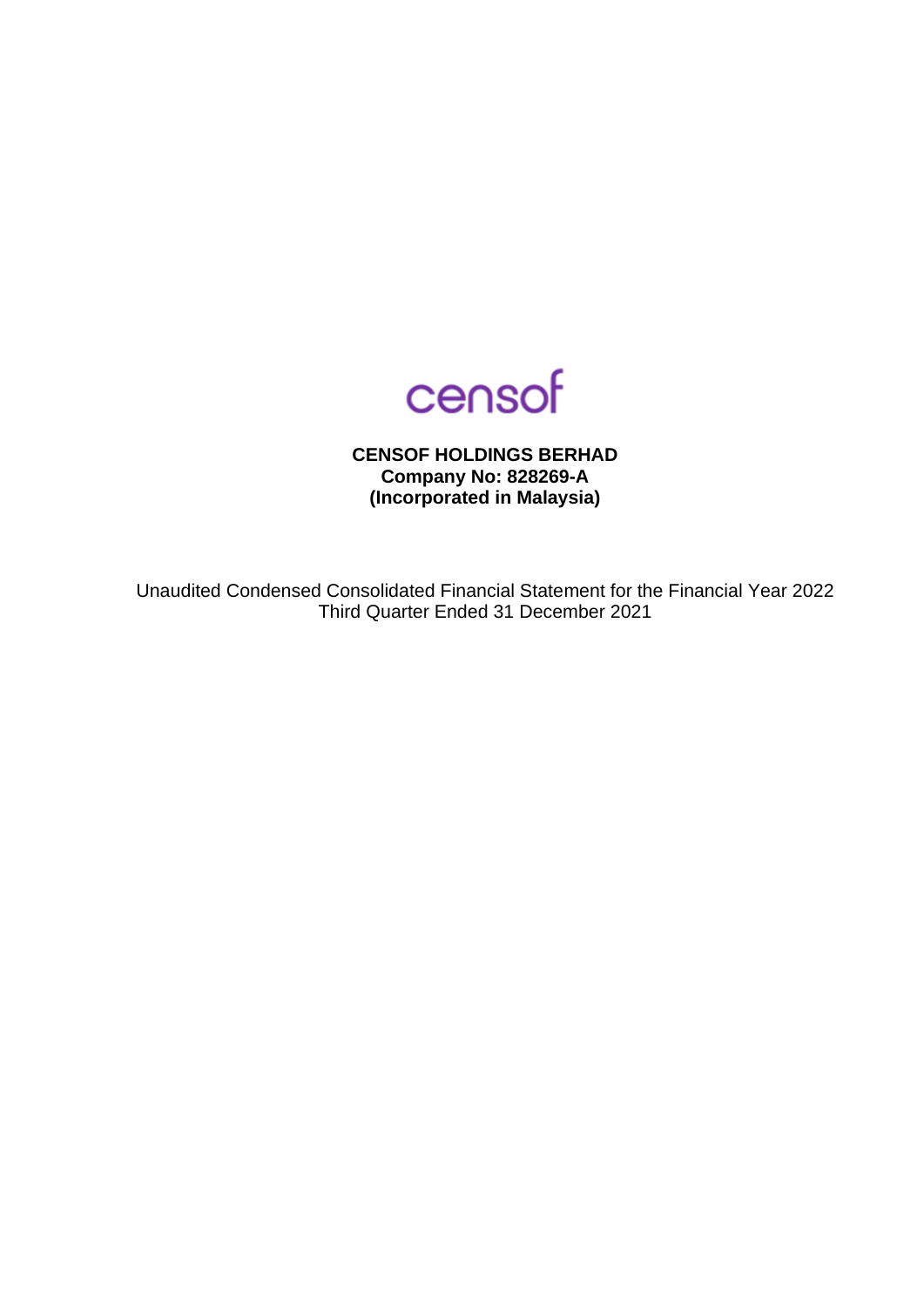

**CENSOF HOLDINGS BERHAD Company No: 828269-A (Incorporated in Malaysia)**

Unaudited Condensed Consolidated Financial Statement for the Financial Year 2022 Third Quarter Ended 31 December 2021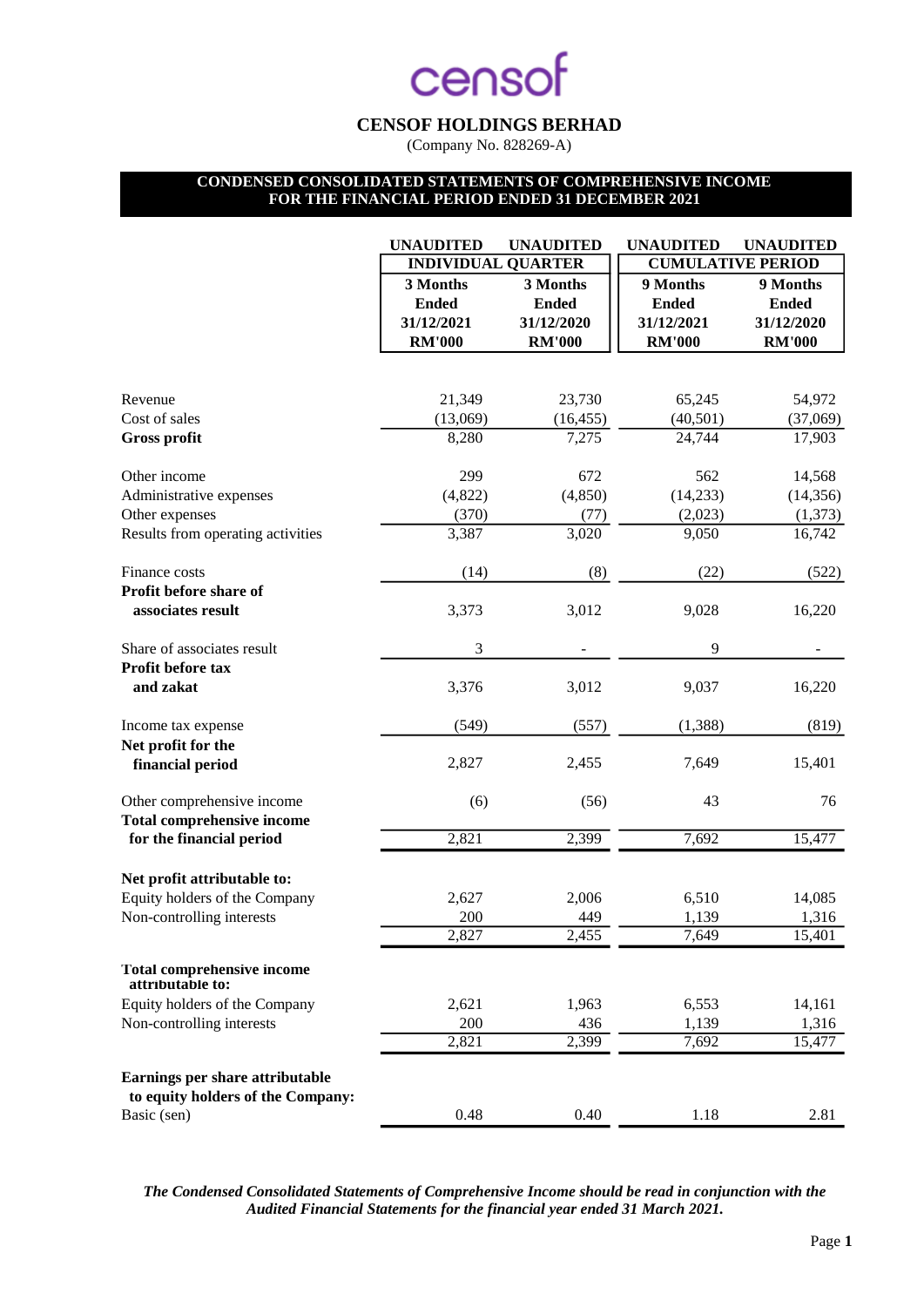## **CENSOF HOLDINGS BERHAD**

(Company No. 828269-A)

## **CONDENSED CONSOLIDATED STATEMENTS OF COMPREHENSIVE INCOME FOR THE FINANCIAL PERIOD ENDED 31 DECEMBER 2021**

|                                                       | <b>UNAUDITED</b>          | <b>UNAUDITED</b>   | <b>UNAUDITED</b>         | <b>UNAUDITED</b> |
|-------------------------------------------------------|---------------------------|--------------------|--------------------------|------------------|
|                                                       | <b>INDIVIDUAL QUARTER</b> |                    | <b>CUMULATIVE PERIOD</b> |                  |
|                                                       | 3 Months                  | 3 Months           | 9 Months                 | 9 Months         |
|                                                       | <b>Ended</b>              | <b>Ended</b>       | <b>Ended</b>             | <b>Ended</b>     |
|                                                       | 31/12/2021                | 31/12/2020         | 31/12/2021               | 31/12/2020       |
|                                                       | <b>RM'000</b>             | <b>RM'000</b>      | <b>RM'000</b>            | <b>RM'000</b>    |
|                                                       |                           |                    |                          |                  |
| Revenue                                               | 21,349                    | 23,730             | 65,245                   | 54,972           |
| Cost of sales                                         | (13,069)                  | (16, 455)          | (40, 501)                | (37,069)         |
| <b>Gross profit</b>                                   | 8,280                     | 7,275              | 24,744                   | 17,903           |
| Other income                                          | 299                       | 672                | 562                      | 14,568           |
| Administrative expenses                               | (4,822)                   | (4, 850)           | (14,233)                 | (14, 356)        |
| Other expenses                                        | (370)                     | (77)               | (2,023)                  | (1,373)          |
| Results from operating activities                     | 3,387                     | $\overline{3,020}$ | 9,050                    | 16,742           |
| Finance costs                                         | (14)                      |                    | (22)                     |                  |
| Profit before share of                                |                           | (8)                |                          | (522)            |
| associates result                                     | 3,373                     | 3,012              | 9,028                    | 16,220           |
| Share of associates result                            | 3                         |                    | 9                        |                  |
| Profit before tax                                     |                           |                    |                          |                  |
| and zakat                                             | 3,376                     | 3,012              | 9,037                    | 16,220           |
| Income tax expense                                    | (549)                     | (557)              | (1,388)                  | (819)            |
| Net profit for the                                    |                           |                    |                          |                  |
| financial period                                      | 2,827                     | 2,455              | 7,649                    | 15,401           |
| Other comprehensive income                            | (6)                       | (56)               | 43                       | 76               |
| <b>Total comprehensive income</b>                     |                           |                    |                          |                  |
| for the financial period                              | 2,821                     | 2,399              | 7,692                    | 15,477           |
| Net profit attributable to:                           |                           |                    |                          |                  |
| Equity holders of the Company                         | 2,627                     | 2,006              | 6,510                    | 14,085           |
| Non-controlling interests                             | 200                       | 449                | 1,139                    | 1,316            |
|                                                       | 2,827                     | 2,455              | 7,649                    | 15,401           |
| <b>Total comprehensive income</b><br>attributable to: |                           |                    |                          |                  |
| Equity holders of the Company                         | 2,621                     | 1,963              | 6,553                    | 14,161           |
| Non-controlling interests                             | 200                       | 436                | 1,139                    | 1,316            |
|                                                       | 2,821                     | 2,399              | 7,692                    | 15,477           |
| Earnings per share attributable                       |                           |                    |                          |                  |
| to equity holders of the Company:                     |                           |                    |                          |                  |
| Basic (sen)                                           | 0.48                      | 0.40               | 1.18                     | 2.81             |

*The Condensed Consolidated Statements of Comprehensive Income should be read in conjunction with the Audited Financial Statements for the financial year ended 31 March 2021.*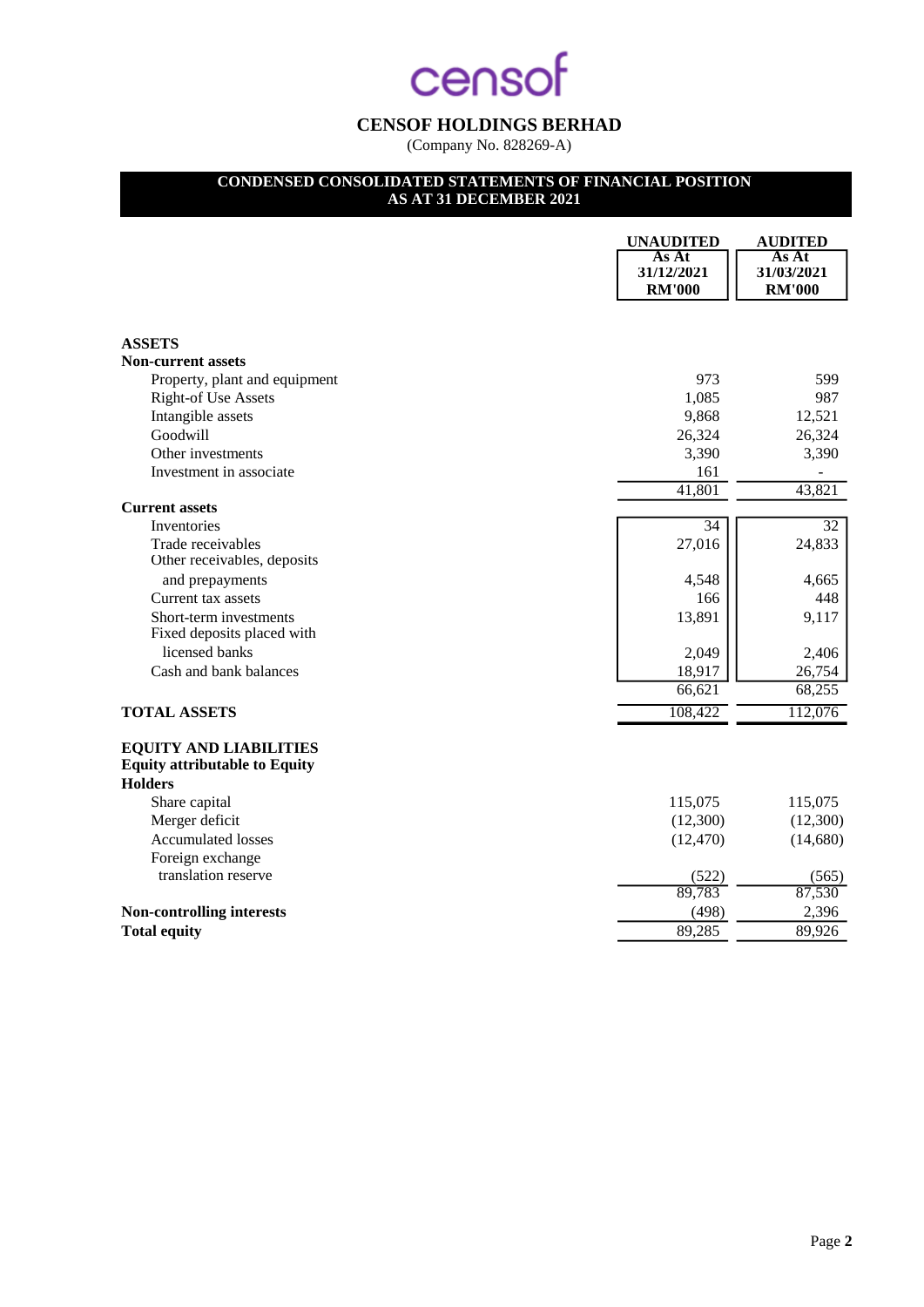## **CENSOF HOLDINGS BERHAD**

(Company No. 828269-A)

## **CONDENSED CONSOLIDATED STATEMENTS OF FINANCIAL POSITION**

## **AS AT 31 DECEMBER 2021**

|                                                                                         | <b>UNAUDITED</b>                     | <b>AUDITED</b>                       |
|-----------------------------------------------------------------------------------------|--------------------------------------|--------------------------------------|
|                                                                                         | As At<br>31/12/2021<br><b>RM'000</b> | As At<br>31/03/2021<br><b>RM'000</b> |
| <b>ASSETS</b>                                                                           |                                      |                                      |
| <b>Non-current assets</b>                                                               |                                      |                                      |
| Property, plant and equipment                                                           | 973                                  | 599                                  |
| <b>Right-of Use Assets</b>                                                              | 1,085                                | 987                                  |
| Intangible assets                                                                       | 9,868                                | 12,521                               |
| Goodwill                                                                                | 26,324                               | 26,324                               |
| Other investments                                                                       | 3,390                                | 3,390                                |
| Investment in associate                                                                 | 161                                  |                                      |
|                                                                                         | $\overline{4}1,801$                  | 43,821                               |
| <b>Current assets</b>                                                                   |                                      |                                      |
| Inventories                                                                             | 34                                   | $\overline{32}$                      |
| Trade receivables                                                                       | 27,016                               | 24,833                               |
| Other receivables, deposits                                                             |                                      |                                      |
| and prepayments                                                                         | 4,548                                | 4,665                                |
| Current tax assets                                                                      | 166                                  | 448                                  |
| Short-term investments<br>Fixed deposits placed with                                    | 13,891                               | 9,117                                |
| licensed banks                                                                          | 2,049                                | 2,406                                |
| Cash and bank balances                                                                  | 18,917                               | 26,754                               |
|                                                                                         | 66,621                               | 68,255                               |
| <b>TOTAL ASSETS</b>                                                                     | 108,422                              | 112,076                              |
|                                                                                         |                                      |                                      |
| <b>EQUITY AND LIABILITIES</b><br><b>Equity attributable to Equity</b><br><b>Holders</b> |                                      |                                      |
| Share capital                                                                           | 115,075                              | 115,075                              |
| Merger deficit                                                                          | (12,300)                             | (12,300)                             |
| <b>Accumulated losses</b>                                                               | (12, 470)                            | (14,680)                             |
| Foreign exchange                                                                        |                                      |                                      |
| translation reserve                                                                     | (522)                                | (565)                                |
|                                                                                         | 89,783                               | 87,530                               |
| <b>Non-controlling interests</b>                                                        | (498)                                | 2,396                                |
| <b>Total equity</b>                                                                     | 89,285                               | 89,926                               |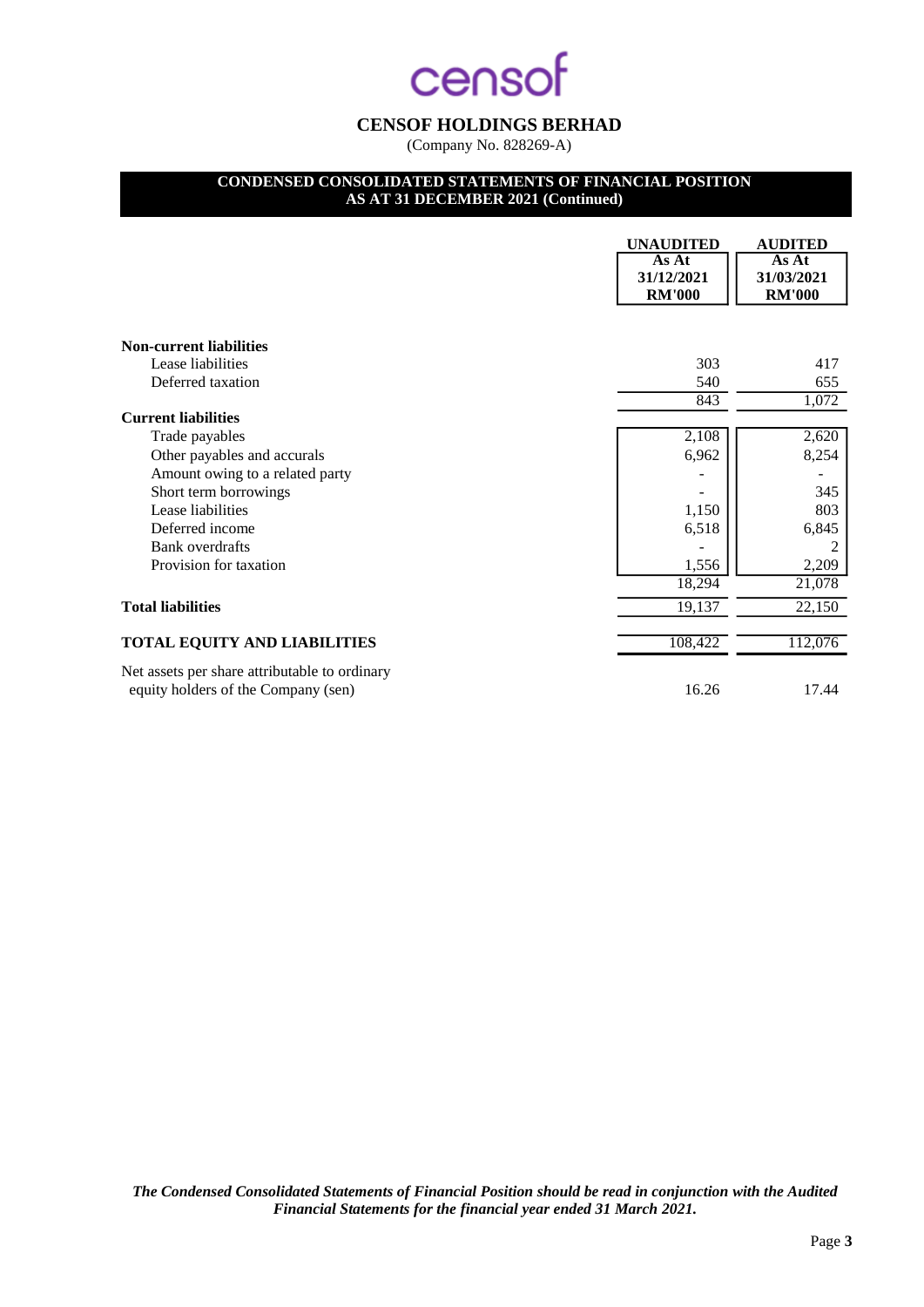## **CENSOF HOLDINGS BERHAD**

(Company No. 828269-A)

## **CONDENSED CONSOLIDATED STATEMENTS OF FINANCIAL POSITION**

**AS AT 31 DECEMBER 2021 (Continued)**

|                                                                                      | <b>UNAUDITED</b>                     | <b>AUDITED</b>                       |
|--------------------------------------------------------------------------------------|--------------------------------------|--------------------------------------|
|                                                                                      | As At<br>31/12/2021<br><b>RM'000</b> | As At<br>31/03/2021<br><b>RM'000</b> |
|                                                                                      |                                      |                                      |
| <b>Non-current liabilities</b>                                                       |                                      |                                      |
| Lease liabilities                                                                    | 303                                  | 417                                  |
| Deferred taxation                                                                    | 540                                  | 655                                  |
|                                                                                      | 843                                  | 1,072                                |
| <b>Current liabilities</b>                                                           |                                      |                                      |
| Trade payables                                                                       | 2,108                                | 2,620                                |
| Other payables and accurals                                                          | 6,962                                | 8,254                                |
| Amount owing to a related party                                                      |                                      |                                      |
| Short term borrowings                                                                |                                      | 345                                  |
| Lease liabilities                                                                    | 1,150                                | 803                                  |
| Deferred income                                                                      | 6,518                                | 6,845                                |
| <b>Bank</b> overdrafts                                                               |                                      |                                      |
| Provision for taxation                                                               | 1,556                                | 2,209                                |
|                                                                                      | 18,294                               | 21,078                               |
| <b>Total liabilities</b>                                                             | 19,137                               | 22,150                               |
| <b>TOTAL EQUITY AND LIABILITIES</b>                                                  | 108,422                              | 112,076                              |
| Net assets per share attributable to ordinary<br>equity holders of the Company (sen) | 16.26                                | 17.44                                |

*The Condensed Consolidated Statements of Financial Position should be read in conjunction with the Audited Financial Statements for the financial year ended 31 March 2021.*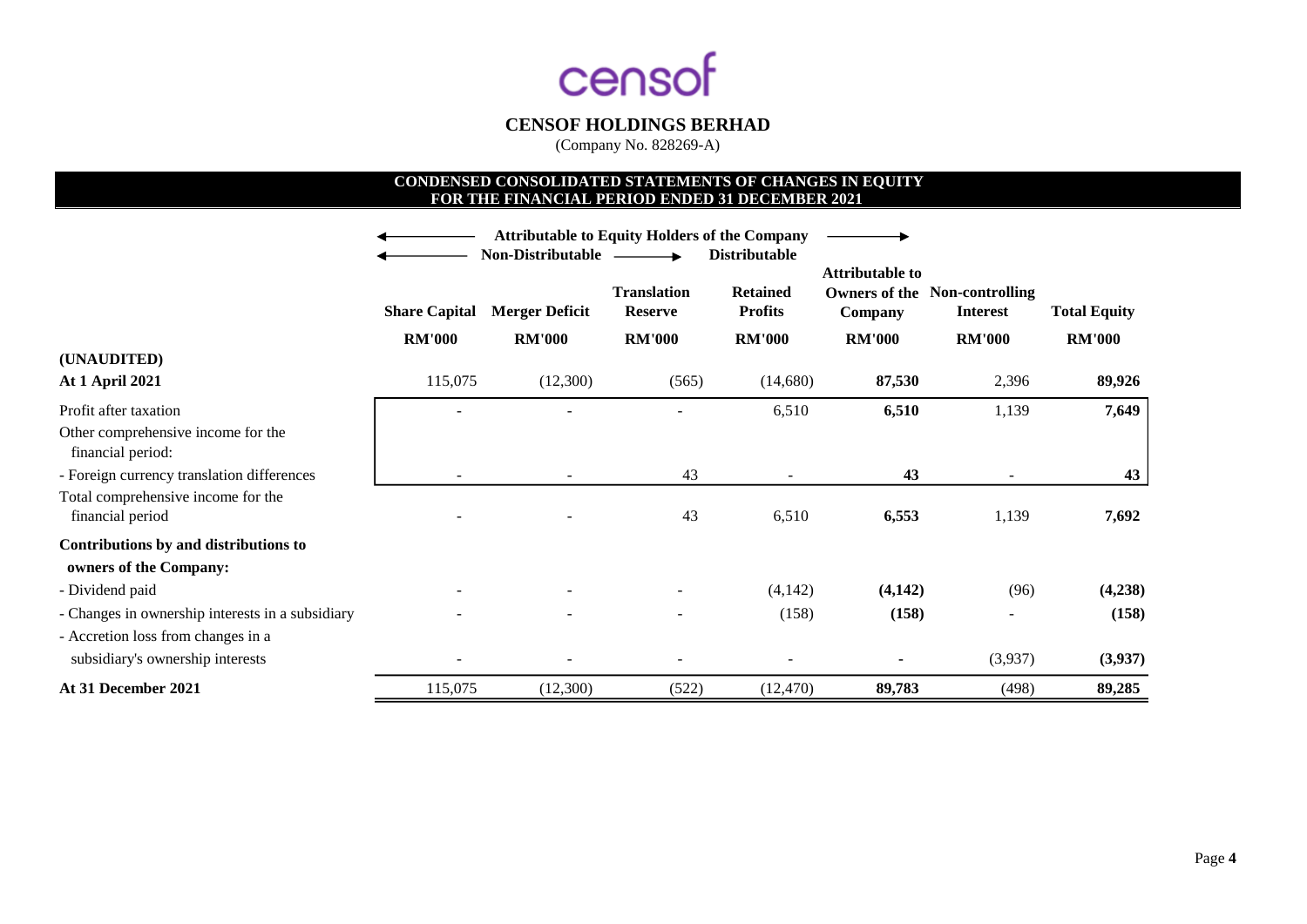

(Company No. 828269-A)

## **CONDENSED CONSOLIDATED STATEMENTS OF CHANGES IN EQUITY FOR THE FINANCIAL PERIOD ENDED 31 DECEMBER 2021**

|                                                         | <b>Attributable to Equity Holders of the Company</b> |                       |                                      |                                   |               |                                                         |                     |
|---------------------------------------------------------|------------------------------------------------------|-----------------------|--------------------------------------|-----------------------------------|---------------|---------------------------------------------------------|---------------------|
|                                                         | <b>Non-Distributable</b><br><b>Distributable</b>     |                       |                                      | <b>Attributable to</b>            |               |                                                         |                     |
|                                                         | <b>Share Capital</b>                                 | <b>Merger Deficit</b> | <b>Translation</b><br><b>Reserve</b> | <b>Retained</b><br><b>Profits</b> | Company       | <b>Owners of the Non-controlling</b><br><b>Interest</b> | <b>Total Equity</b> |
|                                                         | <b>RM'000</b>                                        | <b>RM'000</b>         | <b>RM'000</b>                        | <b>RM'000</b>                     | <b>RM'000</b> | <b>RM'000</b>                                           | <b>RM'000</b>       |
| (UNAUDITED)                                             |                                                      |                       |                                      |                                   |               |                                                         |                     |
| <b>At 1 April 2021</b>                                  | 115,075                                              | (12,300)              | (565)                                | (14,680)                          | 87,530        | 2,396                                                   | 89,926              |
| Profit after taxation                                   |                                                      |                       |                                      | 6,510                             | 6,510         | 1,139                                                   | 7,649               |
| Other comprehensive income for the<br>financial period: |                                                      |                       |                                      |                                   |               |                                                         |                     |
| - Foreign currency translation differences              |                                                      |                       | 43                                   |                                   | 43            |                                                         | 43                  |
| Total comprehensive income for the<br>financial period  |                                                      |                       | 43                                   | 6,510                             | 6,553         | 1,139                                                   | 7,692               |
| Contributions by and distributions to                   |                                                      |                       |                                      |                                   |               |                                                         |                     |
| owners of the Company:                                  |                                                      |                       |                                      |                                   |               |                                                         |                     |
| - Dividend paid                                         |                                                      |                       |                                      | (4,142)                           | (4, 142)      | (96)                                                    | (4,238)             |
| - Changes in ownership interests in a subsidiary        |                                                      |                       |                                      | (158)                             | (158)         |                                                         | (158)               |
| - Accretion loss from changes in a                      |                                                      |                       |                                      |                                   |               |                                                         |                     |
| subsidiary's ownership interests                        |                                                      |                       |                                      |                                   |               | (3,937)                                                 | (3,937)             |
| At 31 December 2021                                     | 115,075                                              | (12,300)              | (522)                                | (12, 470)                         | 89,783        | (498)                                                   | 89,285              |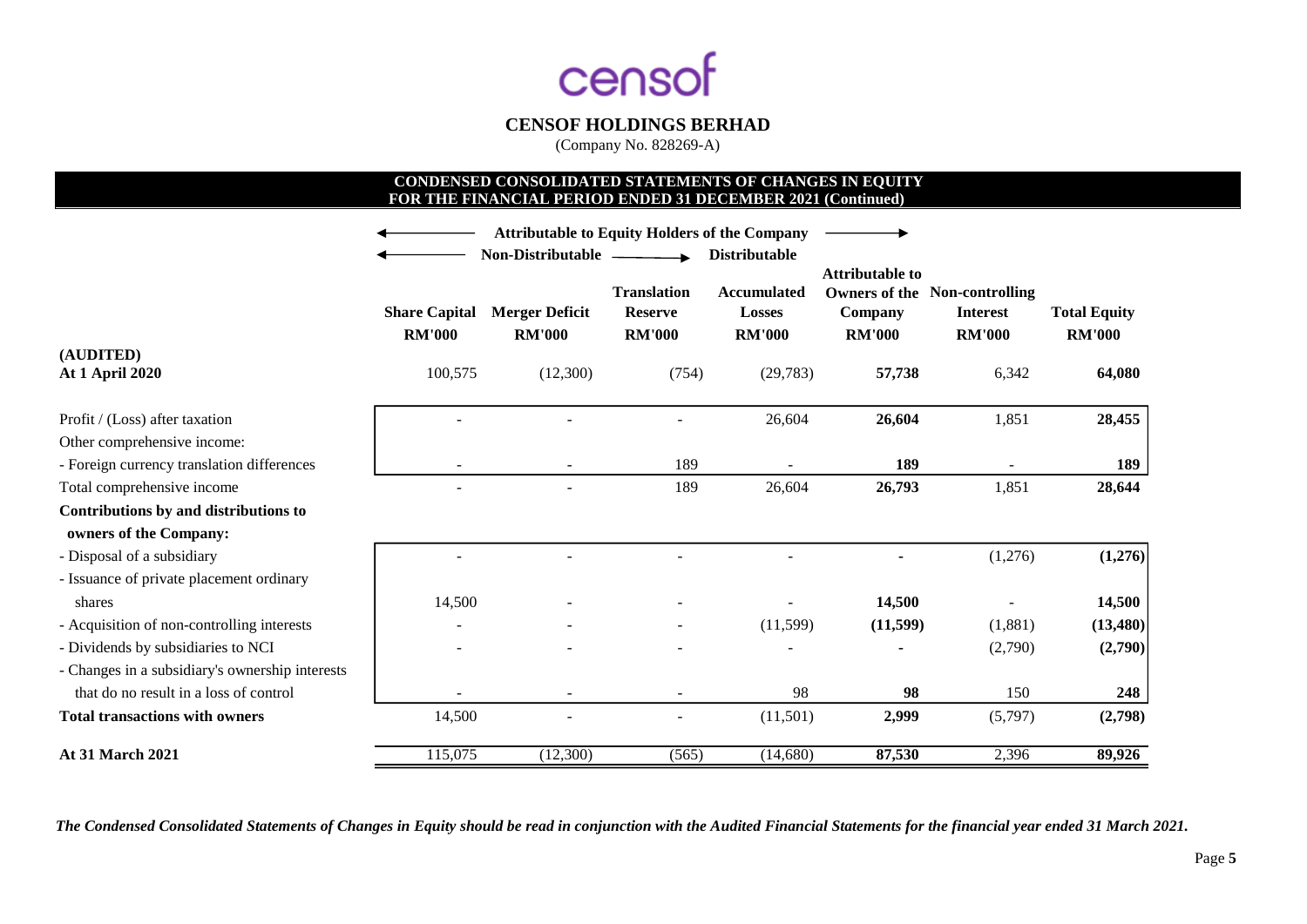

(Company No. 828269-A)

## **CONDENSED CONSOLIDATED STATEMENTS OF CHANGES IN EQUITY FOR THE FINANCIAL PERIOD ENDED 31 DECEMBER 2021 (Continued)**

|                                                 | <b>Attributable to Equity Holders of the Company</b> |                                                             |                                                       |                                                                       |                                                    |                                                                          |                                      |
|-------------------------------------------------|------------------------------------------------------|-------------------------------------------------------------|-------------------------------------------------------|-----------------------------------------------------------------------|----------------------------------------------------|--------------------------------------------------------------------------|--------------------------------------|
|                                                 | <b>Share Capital</b><br><b>RM'000</b>                | Non-Distributable<br><b>Merger Deficit</b><br><b>RM'000</b> | <b>Translation</b><br><b>Reserve</b><br><b>RM'000</b> | <b>Distributable</b><br>Accumulated<br><b>Losses</b><br><b>RM'000</b> | <b>Attributable to</b><br>Company<br><b>RM'000</b> | <b>Owners of the Non-controlling</b><br><b>Interest</b><br><b>RM'000</b> | <b>Total Equity</b><br><b>RM'000</b> |
| (AUDITED)<br><b>At 1 April 2020</b>             | 100,575                                              | (12,300)                                                    | (754)                                                 | (29, 783)                                                             | 57,738                                             | 6,342                                                                    | 64,080                               |
|                                                 |                                                      |                                                             |                                                       |                                                                       |                                                    |                                                                          |                                      |
| Profit / (Loss) after taxation                  |                                                      |                                                             |                                                       | 26,604                                                                | 26,604                                             | 1,851                                                                    | 28,455                               |
| Other comprehensive income:                     |                                                      |                                                             |                                                       |                                                                       |                                                    |                                                                          |                                      |
| - Foreign currency translation differences      |                                                      |                                                             | 189                                                   |                                                                       | 189                                                |                                                                          | 189                                  |
| Total comprehensive income                      |                                                      |                                                             | 189                                                   | 26,604                                                                | 26,793                                             | 1,851                                                                    | 28,644                               |
| Contributions by and distributions to           |                                                      |                                                             |                                                       |                                                                       |                                                    |                                                                          |                                      |
| owners of the Company:                          |                                                      |                                                             |                                                       |                                                                       |                                                    |                                                                          |                                      |
| - Disposal of a subsidiary                      |                                                      |                                                             |                                                       |                                                                       |                                                    | (1,276)                                                                  | (1,276)                              |
| - Issuance of private placement ordinary        |                                                      |                                                             |                                                       |                                                                       |                                                    |                                                                          |                                      |
| shares                                          | 14,500                                               |                                                             |                                                       |                                                                       | 14,500                                             |                                                                          | 14,500                               |
| - Acquisition of non-controlling interests      |                                                      |                                                             |                                                       | (11,599)                                                              | (11, 599)                                          | (1,881)                                                                  | (13, 480)                            |
| - Dividends by subsidiaries to NCI              |                                                      |                                                             |                                                       |                                                                       |                                                    | (2,790)                                                                  | (2,790)                              |
| - Changes in a subsidiary's ownership interests |                                                      |                                                             |                                                       |                                                                       |                                                    |                                                                          |                                      |
| that do no result in a loss of control          |                                                      |                                                             |                                                       | 98                                                                    | 98                                                 | 150                                                                      | 248                                  |
| <b>Total transactions with owners</b>           | 14,500                                               |                                                             |                                                       | (11,501)                                                              | 2,999                                              | (5,797)                                                                  | (2,798)                              |
| <b>At 31 March 2021</b>                         | 115,075                                              | (12,300)                                                    | (565)                                                 | (14,680)                                                              | 87,530                                             | 2,396                                                                    | 89,926                               |

*The Condensed Consolidated Statements of Changes in Equity should be read in conjunction with the Audited Financial Statements for the financial year ended 31 March 2021.*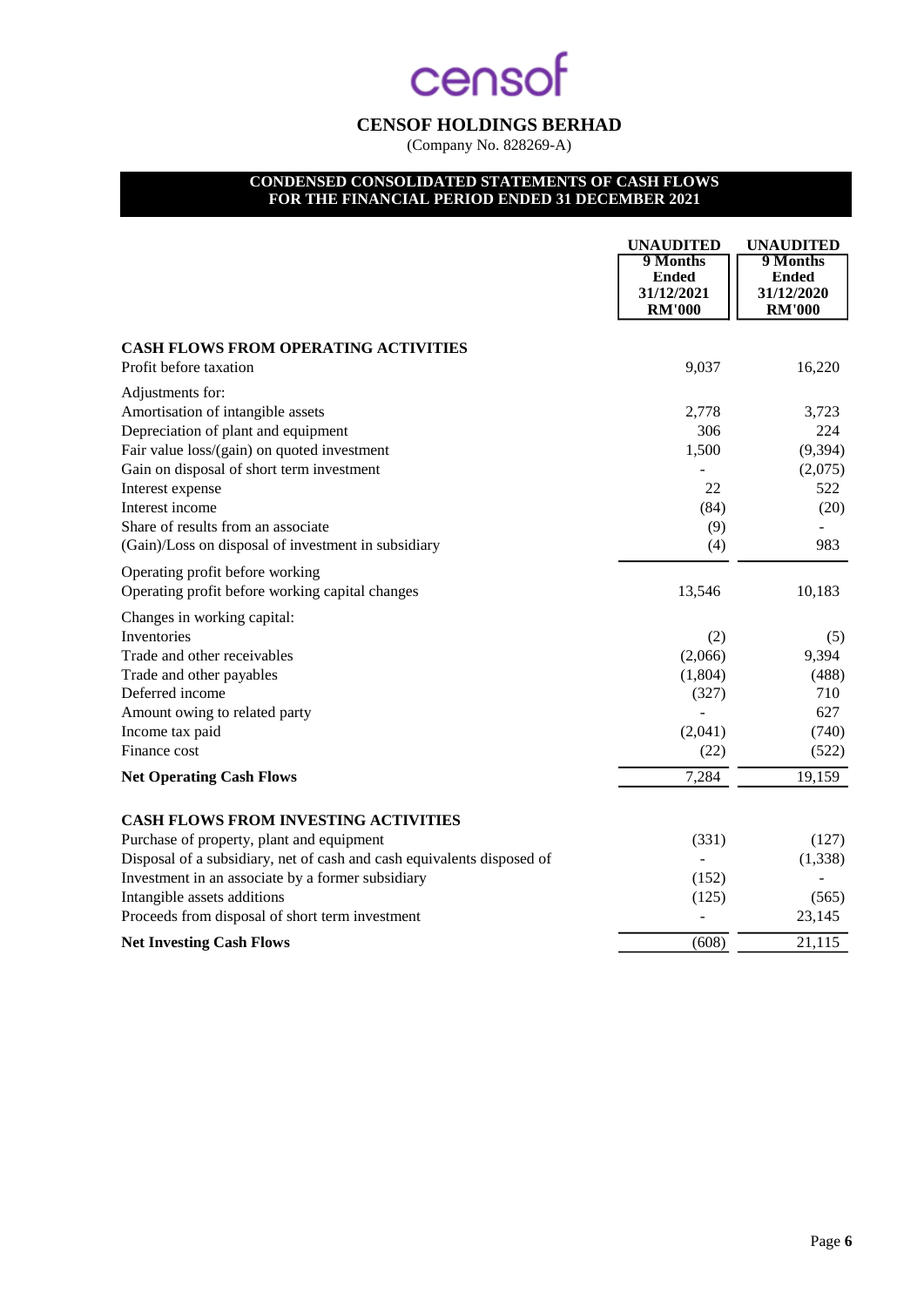## **CENSOF HOLDINGS BERHAD**

(Company No. 828269-A)

## **CONDENSED CONSOLIDATED STATEMENTS OF CASH FLOWS FOR THE FINANCIAL PERIOD ENDED 31 DECEMBER 2021**

|                                                                        | <b>UNAUDITED</b><br>9 Months<br><b>Ended</b><br>31/12/2021<br><b>RM'000</b> | <b>UNAUDITED</b><br>9 Months<br><b>Ended</b><br>31/12/2020<br><b>RM'000</b> |
|------------------------------------------------------------------------|-----------------------------------------------------------------------------|-----------------------------------------------------------------------------|
| <b>CASH FLOWS FROM OPERATING ACTIVITIES</b>                            |                                                                             |                                                                             |
| Profit before taxation                                                 | 9,037                                                                       | 16,220                                                                      |
| Adjustments for:                                                       |                                                                             |                                                                             |
| Amortisation of intangible assets                                      | 2,778                                                                       | 3,723                                                                       |
| Depreciation of plant and equipment                                    | 306                                                                         | 224                                                                         |
| Fair value loss/(gain) on quoted investment                            | 1,500                                                                       | (9, 394)                                                                    |
| Gain on disposal of short term investment                              |                                                                             | (2,075)                                                                     |
| Interest expense                                                       | 22                                                                          | 522                                                                         |
| Interest income                                                        | (84)                                                                        | (20)                                                                        |
| Share of results from an associate                                     | (9)                                                                         |                                                                             |
| (Gain)/Loss on disposal of investment in subsidiary                    | (4)                                                                         | 983                                                                         |
| Operating profit before working                                        |                                                                             |                                                                             |
| Operating profit before working capital changes                        | 13,546                                                                      | 10,183                                                                      |
| Changes in working capital:                                            |                                                                             |                                                                             |
| Inventories                                                            | (2)                                                                         | (5)                                                                         |
| Trade and other receivables                                            | (2,066)                                                                     | 9,394                                                                       |
| Trade and other payables                                               | (1,804)                                                                     | (488)                                                                       |
| Deferred income                                                        | (327)                                                                       | 710                                                                         |
| Amount owing to related party                                          |                                                                             | 627                                                                         |
| Income tax paid                                                        | (2,041)                                                                     | (740)                                                                       |
| Finance cost                                                           | (22)                                                                        | (522)                                                                       |
| <b>Net Operating Cash Flows</b>                                        | 7,284                                                                       | 19,159                                                                      |
| <b>CASH FLOWS FROM INVESTING ACTIVITIES</b>                            |                                                                             |                                                                             |
| Purchase of property, plant and equipment                              | (331)                                                                       | (127)                                                                       |
| Disposal of a subsidiary, net of cash and cash equivalents disposed of |                                                                             | (1, 338)                                                                    |
| Investment in an associate by a former subsidiary                      | (152)                                                                       |                                                                             |
| Intangible assets additions                                            | (125)                                                                       | (565)                                                                       |
| Proceeds from disposal of short term investment                        |                                                                             | 23,145                                                                      |
| <b>Net Investing Cash Flows</b>                                        | (608)                                                                       | 21,115                                                                      |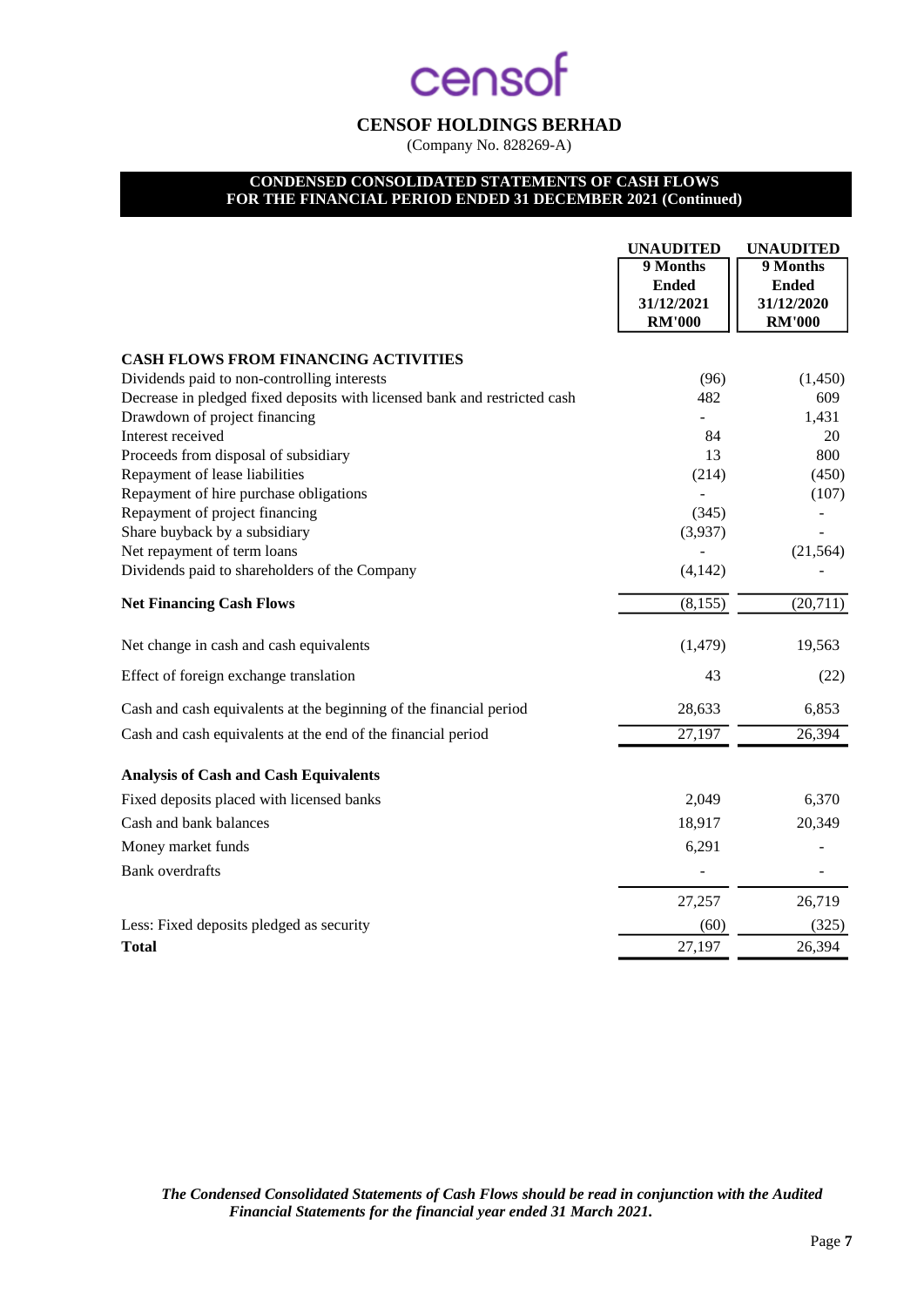## **CENSOF HOLDINGS BERHAD**

(Company No. 828269-A)

## **CONDENSED CONSOLIDATED STATEMENTS OF CASH FLOWS FOR THE FINANCIAL PERIOD ENDED 31 DECEMBER 2021 (Continued)**

|                                                                           | <b>UNAUDITED</b><br>9 Months<br><b>Ended</b><br>31/12/2021<br><b>RM'000</b> | <b>UNAUDITED</b><br>9 Months<br><b>Ended</b><br>31/12/2020<br><b>RM'000</b> |
|---------------------------------------------------------------------------|-----------------------------------------------------------------------------|-----------------------------------------------------------------------------|
| <b>CASH FLOWS FROM FINANCING ACTIVITIES</b>                               |                                                                             |                                                                             |
| Dividends paid to non-controlling interests                               | (96)                                                                        | (1,450)                                                                     |
| Decrease in pledged fixed deposits with licensed bank and restricted cash | 482                                                                         | 609                                                                         |
| Drawdown of project financing                                             |                                                                             | 1,431                                                                       |
| Interest received                                                         | 84                                                                          | 20                                                                          |
| Proceeds from disposal of subsidiary                                      | 13                                                                          | 800                                                                         |
| Repayment of lease liabilities                                            | (214)                                                                       | (450)                                                                       |
| Repayment of hire purchase obligations                                    |                                                                             | (107)                                                                       |
| Repayment of project financing                                            | (345)                                                                       |                                                                             |
| Share buyback by a subsidiary                                             | (3,937)                                                                     |                                                                             |
| Net repayment of term loans                                               |                                                                             | (21, 564)                                                                   |
| Dividends paid to shareholders of the Company                             | (4, 142)                                                                    |                                                                             |
| <b>Net Financing Cash Flows</b>                                           | (8, 155)                                                                    | (20,711)                                                                    |
| Net change in cash and cash equivalents                                   | (1, 479)                                                                    | 19,563                                                                      |
| Effect of foreign exchange translation                                    | 43                                                                          | (22)                                                                        |
| Cash and cash equivalents at the beginning of the financial period        | 28,633                                                                      | 6,853                                                                       |
| Cash and cash equivalents at the end of the financial period              | 27,197                                                                      | 26,394                                                                      |
| <b>Analysis of Cash and Cash Equivalents</b>                              |                                                                             |                                                                             |
| Fixed deposits placed with licensed banks                                 | 2,049                                                                       | 6,370                                                                       |
| Cash and bank balances                                                    | 18,917                                                                      | 20,349                                                                      |
| Money market funds                                                        | 6,291                                                                       |                                                                             |
| <b>Bank</b> overdrafts                                                    |                                                                             |                                                                             |
|                                                                           | 27,257                                                                      | 26,719                                                                      |
| Less: Fixed deposits pledged as security                                  | (60)                                                                        | (325)                                                                       |
| <b>Total</b>                                                              | 27,197                                                                      | 26,394                                                                      |

*The Condensed Consolidated Statements of Cash Flows should be read in conjunction with the Audited Financial Statements for the financial year ended 31 March 2021.*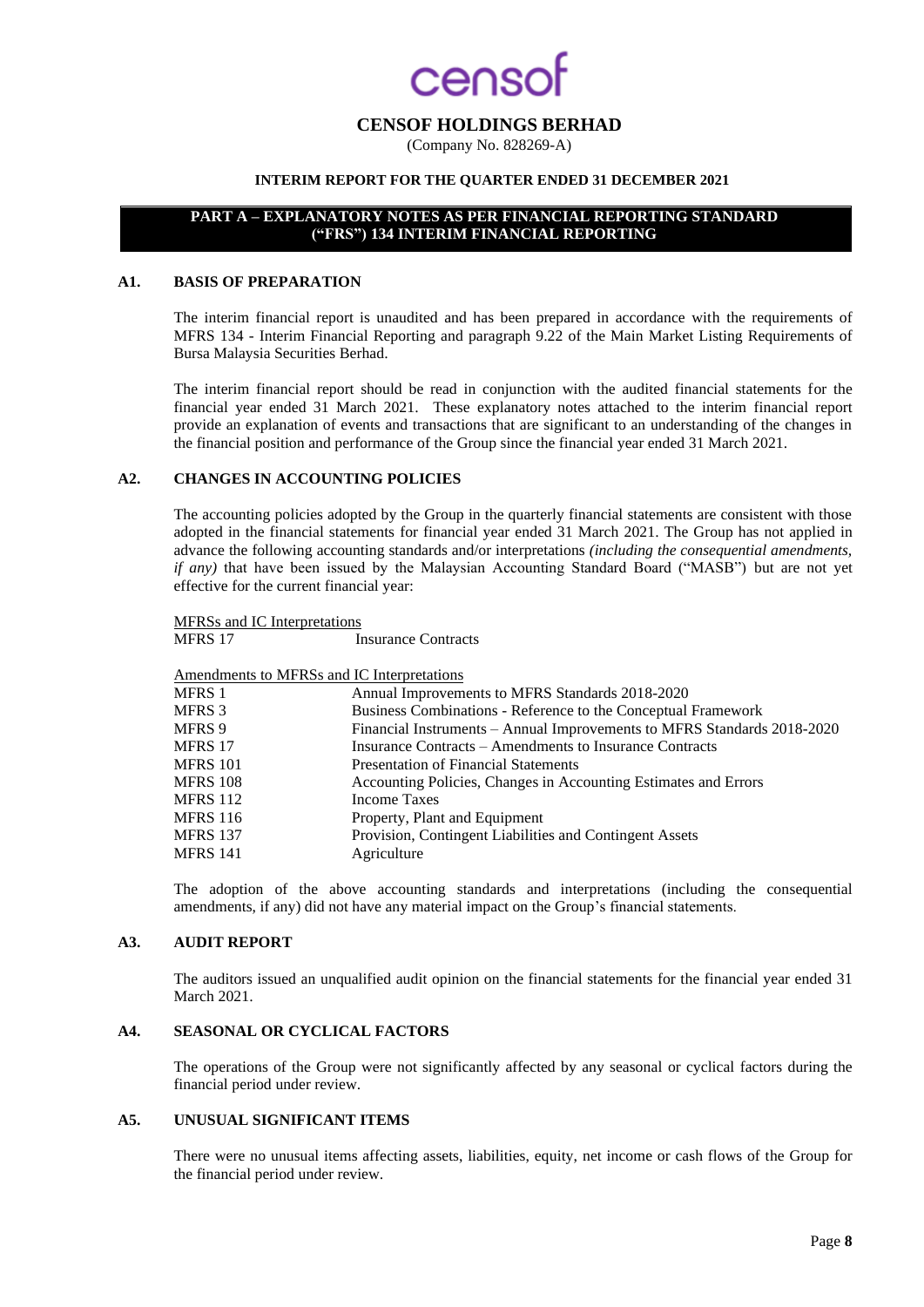## **CAOSO**

### **CENSOF HOLDINGS BERHAD**

(Company No. 828269-A)

## **INTERIM REPORT FOR THE QUARTER ENDED 31 DECEMBER 2021**

## **PART A – EXPLANATORY NOTES AS PER FINANCIAL REPORTING STANDARD ("FRS") 134 INTERIM FINANCIAL REPORTING**

#### **A1. BASIS OF PREPARATION**

The interim financial report is unaudited and has been prepared in accordance with the requirements of MFRS 134 - Interim Financial Reporting and paragraph 9.22 of the Main Market Listing Requirements of Bursa Malaysia Securities Berhad.

The interim financial report should be read in conjunction with the audited financial statements for the financial year ended 31 March 2021. These explanatory notes attached to the interim financial report provide an explanation of events and transactions that are significant to an understanding of the changes in the financial position and performance of the Group since the financial year ended 31 March 2021.

#### **A2. CHANGES IN ACCOUNTING POLICIES**

The accounting policies adopted by the Group in the quarterly financial statements are consistent with those adopted in the financial statements for financial year ended 31 March 2021. The Group has not applied in advance the following accounting standards and/or interpretations *(including the consequential amendments, if any*) that have been issued by the Malaysian Accounting Standard Board ("MASB") but are not yet effective for the current financial year:

MFRSs and IC Interpretations<br>MFRS 17 I

**Insurance Contracts** 

Amendments to MFRSs and IC Interpretations

| <i>h</i> and nother to the two and it meepfeuthons |                                                                         |
|----------------------------------------------------|-------------------------------------------------------------------------|
| MFRS 1                                             | Annual Improvements to MFRS Standards 2018-2020                         |
| MFRS 3                                             | Business Combinations - Reference to the Conceptual Framework           |
| MFRS 9                                             | Financial Instruments - Annual Improvements to MFRS Standards 2018-2020 |
| MFRS 17                                            | Insurance Contracts – Amendments to Insurance Contracts                 |
| MFRS 101                                           | Presentation of Financial Statements                                    |
| MFRS 108                                           | Accounting Policies, Changes in Accounting Estimates and Errors         |
| MFRS 112                                           | Income Taxes                                                            |
| MFRS 116                                           | Property, Plant and Equipment                                           |
| <b>MFRS 137</b>                                    | Provision, Contingent Liabilities and Contingent Assets                 |
| MFRS 141                                           | Agriculture                                                             |
|                                                    |                                                                         |

The adoption of the above accounting standards and interpretations (including the consequential amendments, if any) did not have any material impact on the Group's financial statements.

#### **A3. AUDIT REPORT**

The auditors issued an unqualified audit opinion on the financial statements for the financial year ended 31 March 2021.

## **A4. SEASONAL OR CYCLICAL FACTORS**

The operations of the Group were not significantly affected by any seasonal or cyclical factors during the financial period under review.

#### **A5. UNUSUAL SIGNIFICANT ITEMS**

There were no unusual items affecting assets, liabilities, equity, net income or cash flows of the Group for the financial period under review.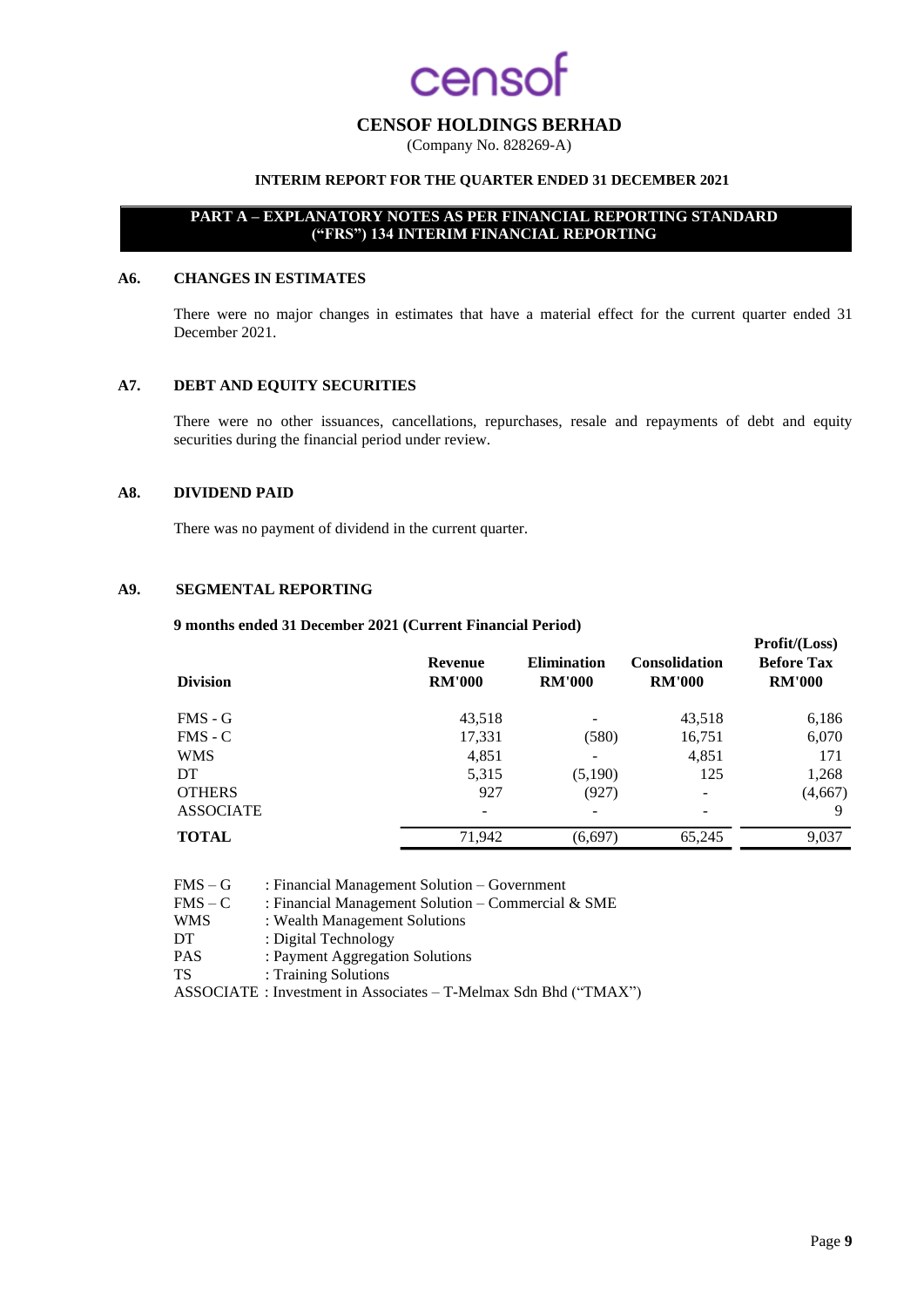## **CENSOF HOLDINGS BERHAD**

(Company No. 828269-A)

## **INTERIM REPORT FOR THE QUARTER ENDED 31 DECEMBER 2021**

## **PART A – EXPLANATORY NOTES AS PER FINANCIAL REPORTING STANDARD ("FRS") 134 INTERIM FINANCIAL REPORTING**

#### **A6. CHANGES IN ESTIMATES**

There were no major changes in estimates that have a material effect for the current quarter ended 31 December 2021.

#### **A7. DEBT AND EQUITY SECURITIES**

There were no other issuances, cancellations, repurchases, resale and repayments of debt and equity securities during the financial period under review.

#### **A8. DIVIDEND PAID**

There was no payment of dividend in the current quarter.

#### **A9. SEGMENTAL REPORTING**

**9 months ended 31 December 2021 (Current Financial Period)**

| <b>Division</b>  | Revenue<br><b>RM'000</b> | <b>Elimination</b><br><b>RM'000</b> | <b>Consolidation</b><br><b>RM'000</b> | $\sim$ 10110 (2000)<br><b>Before Tax</b><br><b>RM'000</b> |
|------------------|--------------------------|-------------------------------------|---------------------------------------|-----------------------------------------------------------|
| $FMS - G$        | 43,518                   |                                     | 43,518                                | 6,186                                                     |
| $FMS - C$        | 17,331                   | (580)                               | 16,751                                | 6,070                                                     |
| <b>WMS</b>       | 4,851                    |                                     | 4,851                                 | 171                                                       |
| DT.              | 5,315                    | (5,190)                             | 125                                   | 1,268                                                     |
| <b>OTHERS</b>    | 927                      | (927)                               |                                       | (4,667)                                                   |
| <b>ASSOCIATE</b> | -                        |                                     |                                       | 9                                                         |
| <b>TOTAL</b>     | 71.942                   | (6,697)                             | 65.245                                | 9,037                                                     |
|                  |                          |                                     |                                       |                                                           |

| $FMS - G$  | : Financial Management Solution – Government                    |
|------------|-----------------------------------------------------------------|
| $FMS - C$  | : Financial Management Solution – Commercial $&$ SME            |
| <b>WMS</b> | : Wealth Management Solutions                                   |
| DT         | : Digital Technology                                            |
| <b>PAS</b> | : Payment Aggregation Solutions                                 |
| <b>TS</b>  | : Training Solutions                                            |
|            | ASSOCIATE: Investment in Associates - T-Melmax Sdn Bhd ("TMAX") |

**Profit/(Loss)**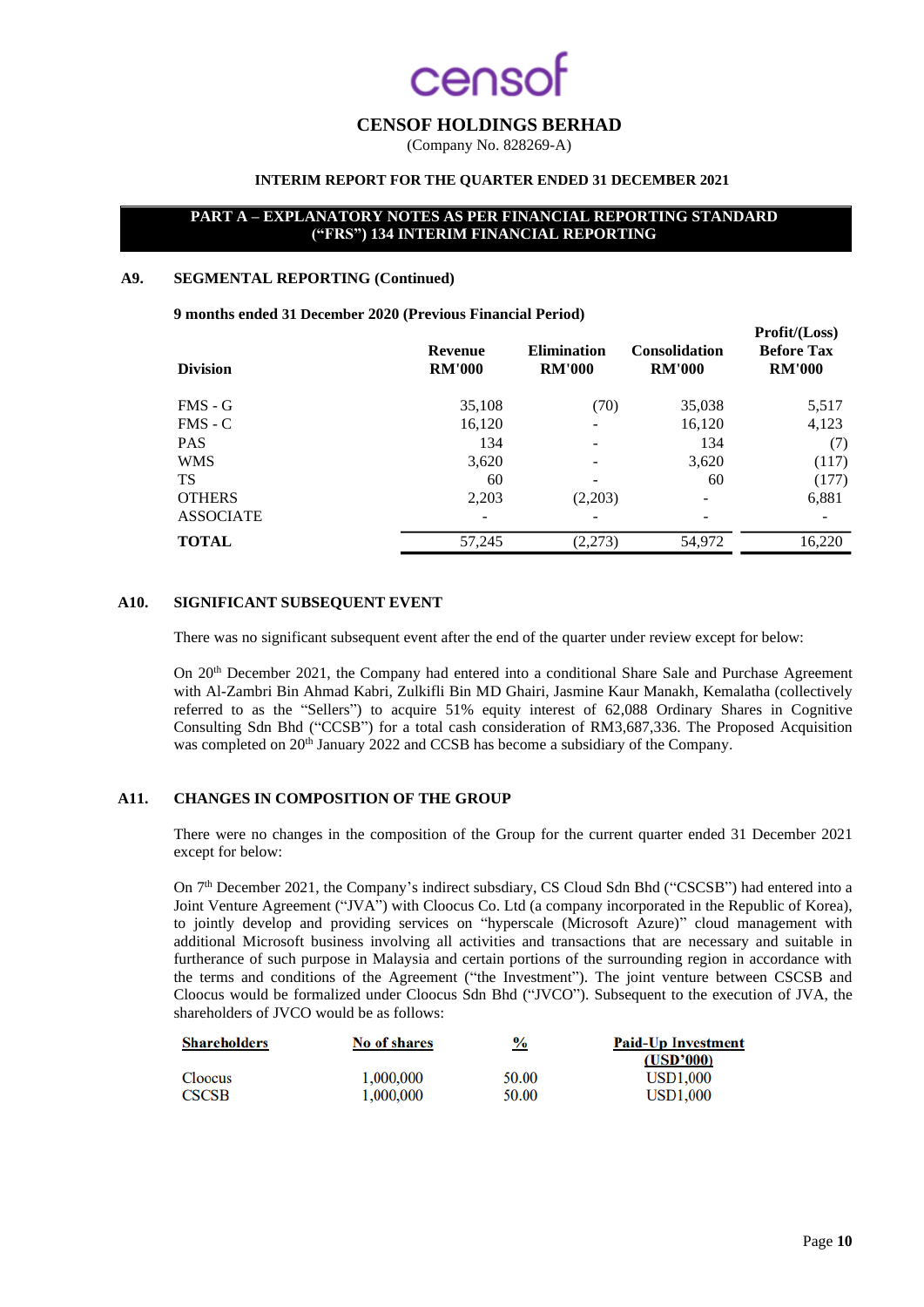## **CENSOF HOLDINGS BERHAD**

(Company No. 828269-A)

## **INTERIM REPORT FOR THE QUARTER ENDED 31 DECEMBER 2021**

### **PART A – EXPLANATORY NOTES AS PER FINANCIAL REPORTING STANDARD ("FRS") 134 INTERIM FINANCIAL REPORTING**

#### **A9. SEGMENTAL REPORTING (Continued)**

**9 months ended 31 December 2020 (Previous Financial Period)**

| <b>Division</b>  | Revenue<br><b>RM'000</b> | <b>Elimination</b><br><b>RM'000</b> | <b>Consolidation</b><br><b>RM'000</b> | 11 JULIU (1000)<br><b>Before Tax</b><br><b>RM'000</b> |
|------------------|--------------------------|-------------------------------------|---------------------------------------|-------------------------------------------------------|
| $FMS - G$        | 35,108                   | (70)                                | 35,038                                | 5,517                                                 |
| $FMS - C$        | 16,120                   | $\overline{\phantom{a}}$            | 16,120                                | 4,123                                                 |
| <b>PAS</b>       | 134                      |                                     | 134                                   | (7)                                                   |
| <b>WMS</b>       | 3,620                    |                                     | 3,620                                 | (117)                                                 |
| <b>TS</b>        | 60                       | $\overline{\phantom{0}}$            | 60                                    | (177)                                                 |
| <b>OTHERS</b>    | 2,203                    | (2,203)                             |                                       | 6,881                                                 |
| <b>ASSOCIATE</b> | ۰                        |                                     |                                       |                                                       |
| <b>TOTAL</b>     | 57,245                   | (2,273)                             | 54,972                                | 16,220                                                |
|                  |                          |                                     |                                       |                                                       |

## **A10. SIGNIFICANT SUBSEQUENT EVENT**

There was no significant subsequent event after the end of the quarter under review except for below:

On 20<sup>th</sup> December 2021, the Company had entered into a conditional Share Sale and Purchase Agreement with Al-Zambri Bin Ahmad Kabri, Zulkifli Bin MD Ghairi, Jasmine Kaur Manakh, Kemalatha (collectively referred to as the "Sellers") to acquire 51% equity interest of 62,088 Ordinary Shares in Cognitive Consulting Sdn Bhd ("CCSB") for a total cash consideration of RM3,687,336. The Proposed Acquisition was completed on 20<sup>th</sup> January 2022 and CCSB has become a subsidiary of the Company.

### **A11. CHANGES IN COMPOSITION OF THE GROUP**

There were no changes in the composition of the Group for the current quarter ended 31 December 2021 except for below:

On 7<sup>th</sup> December 2021, the Company's indirect subsdiary, CS Cloud Sdn Bhd ("CSCSB") had entered into a Joint Venture Agreement ("JVA") with Cloocus Co. Ltd (a company incorporated in the Republic of Korea), to jointly develop and providing services on "hyperscale (Microsoft Azure)" cloud management with additional Microsoft business involving all activities and transactions that are necessary and suitable in furtherance of such purpose in Malaysia and certain portions of the surrounding region in accordance with the terms and conditions of the Agreement ("the Investment"). The joint venture between CSCSB and Cloocus would be formalized under Cloocus Sdn Bhd ("JVCO"). Subsequent to the execution of JVA, the shareholders of JVCO would be as follows:

| No of shares | $\frac{9}{6}$ | <b>Paid-Up Investment</b> |
|--------------|---------------|---------------------------|
|              |               | (USD'000)                 |
| 1.000.000    | 50.00         | <b>USD1.000</b>           |
| 1,000,000    | 50.00         | <b>USD1.000</b>           |
|              |               |                           |

 $\mathbf{D}_{\text{max}}\mathbf{f}(\mathbf{H}/\mathbf{L}_{\text{max}})$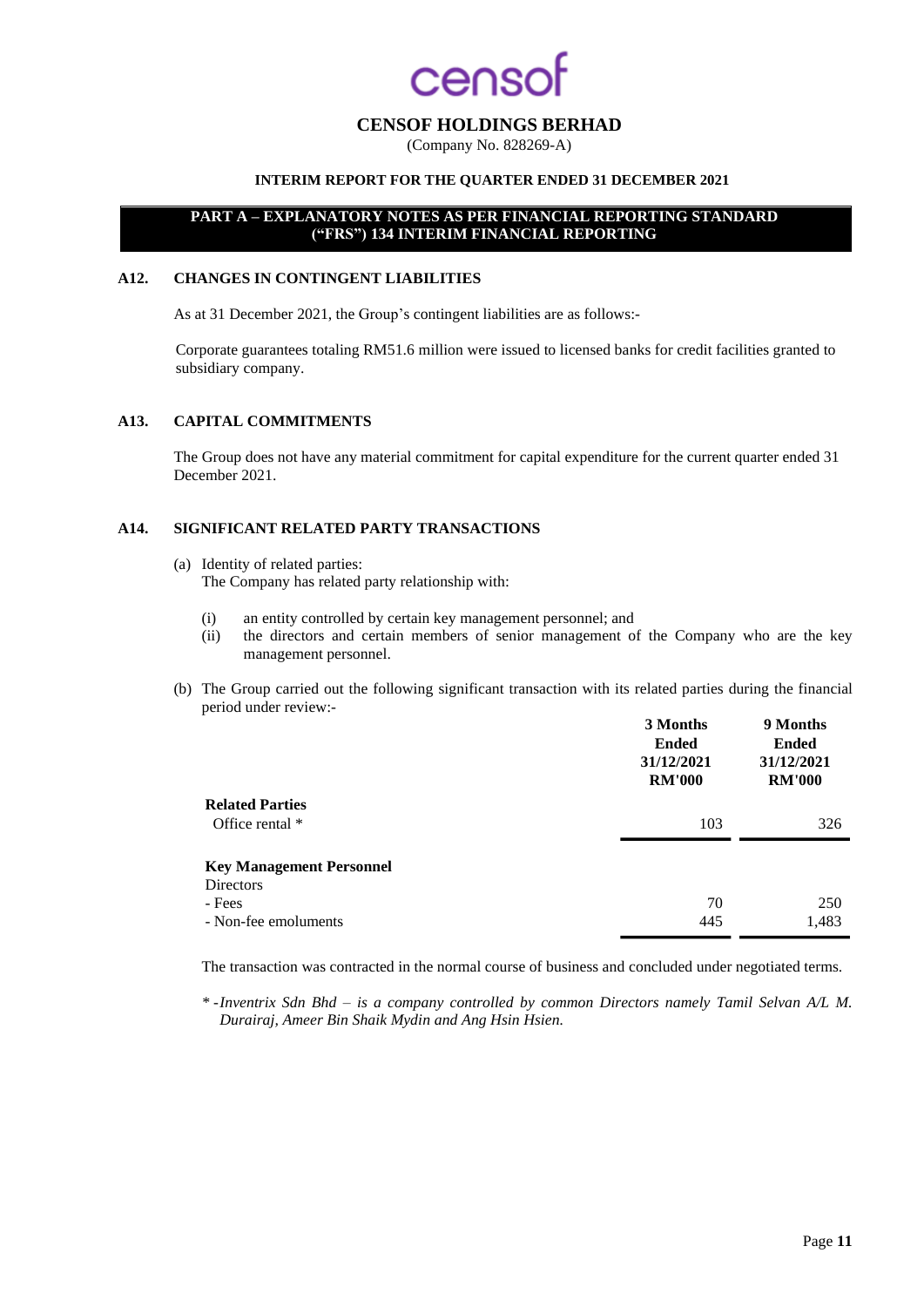## enso

## **CENSOF HOLDINGS BERHAD**

(Company No. 828269-A)

### **INTERIM REPORT FOR THE QUARTER ENDED 31 DECEMBER 2021**

## **PART A – EXPLANATORY NOTES AS PER FINANCIAL REPORTING STANDARD ("FRS") 134 INTERIM FINANCIAL REPORTING**

#### **A12. CHANGES IN CONTINGENT LIABILITIES**

As at 31 December 2021, the Group's contingent liabilities are as follows:-

Corporate guarantees totaling RM51.6 million were issued to licensed banks for credit facilities granted to subsidiary company.

#### **A13. CAPITAL COMMITMENTS**

The Group does not have any material commitment for capital expenditure for the current quarter ended 31 December 2021.

#### **A14. SIGNIFICANT RELATED PARTY TRANSACTIONS**

- (a) Identity of related parties: The Company has related party relationship with:
	- (i) an entity controlled by certain key management personnel; and
	- (ii) the directors and certain members of senior management of the Company who are the key management personnel.
- (b) The Group carried out the following significant transaction with its related parties during the financial period under review:-

|                                 | 3 Months<br><b>Ended</b><br>31/12/2021<br><b>RM'000</b> | 9 Months<br><b>Ended</b><br>31/12/2021<br><b>RM'000</b> |
|---------------------------------|---------------------------------------------------------|---------------------------------------------------------|
| <b>Related Parties</b>          |                                                         |                                                         |
| Office rental *                 | 103                                                     | 326                                                     |
| <b>Key Management Personnel</b> |                                                         |                                                         |
| <b>Directors</b>                |                                                         |                                                         |
| - Fees                          | 70                                                      | 250                                                     |
| - Non-fee emoluments            | 445                                                     | 1,483                                                   |

The transaction was contracted in the normal course of business and concluded under negotiated terms.

*\* -Inventrix Sdn Bhd – is a company controlled by common Directors namely Tamil Selvan A/L M. Durairaj, Ameer Bin Shaik Mydin and Ang Hsin Hsien.*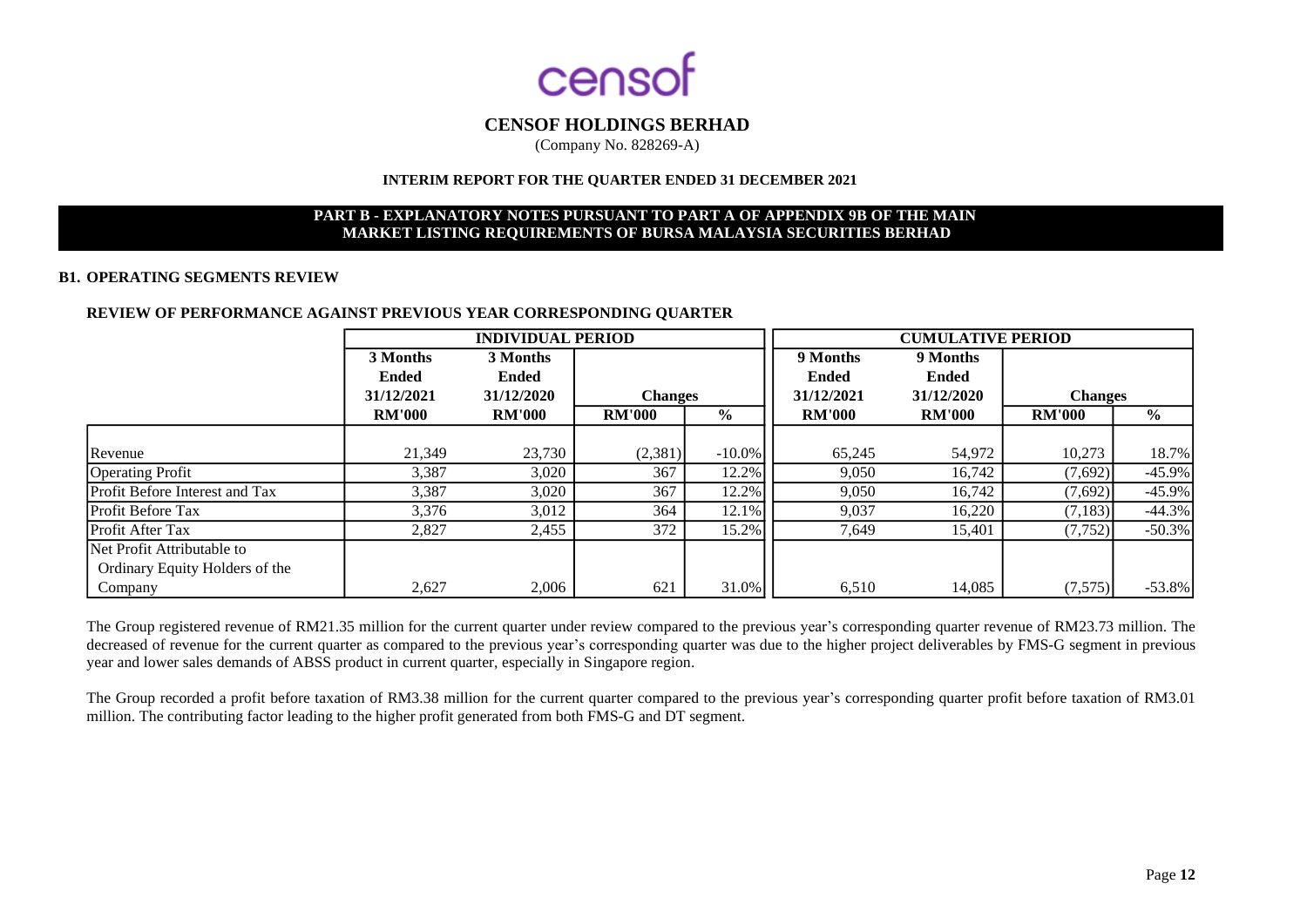

(Company No. 828269-A)

#### **INTERIM REPORT FOR THE QUARTER ENDED 31 DECEMBER 2021**

## **PART B - EXPLANATORY NOTES PURSUANT TO PART A OF APPENDIX 9B OF THE MAIN MARKET LISTING REQUIREMENTS OF BURSA MALAYSIA SECURITIES BERHAD**

#### **B1. OPERATING SEGMENTS REVIEW**

#### **REVIEW OF PERFORMANCE AGAINST PREVIOUS YEAR CORRESPONDING QUARTER**

|                                | <b>INDIVIDUAL PERIOD</b> |               |                |           | <b>CUMULATIVE PERIOD</b> |               |                |               |
|--------------------------------|--------------------------|---------------|----------------|-----------|--------------------------|---------------|----------------|---------------|
|                                | 3 Months                 | 3 Months      |                |           | 9 Months                 | 9 Months      |                |               |
|                                | <b>Ended</b>             | <b>Ended</b>  |                |           | <b>Ended</b>             | <b>Ended</b>  |                |               |
|                                | 31/12/2021               | 31/12/2020    | <b>Changes</b> |           | 31/12/2021               | 31/12/2020    | <b>Changes</b> |               |
|                                | <b>RM'000</b>            | <b>RM'000</b> | <b>RM'000</b>  | $\%$      | <b>RM'000</b>            | <b>RM'000</b> | <b>RM'000</b>  | $\frac{0}{0}$ |
|                                |                          |               |                |           |                          |               |                |               |
| Revenue                        | 21.349                   | 23,730        | (2,381)        | $-10.0\%$ | 65,245                   | 54,972        | 10,273         | 18.7%         |
| <b>Operating Profit</b>        | 3,387                    | 3,020         | 367            | 12.2%     | 9.050                    | 16,742        | (7,692)        | $-45.9\%$     |
| Profit Before Interest and Tax | 3,387                    | 3,020         | 367            | 12.2%     | 9,050                    | 16,742        | (7,692)        | $-45.9\%$     |
| <b>Profit Before Tax</b>       | 3,376                    | 3,012         | 364            | 12.1%     | 9,037                    | 16,220        | (7, 183)       | $-44.3%$      |
| <b>Profit After Tax</b>        | 2,827                    | 2,455         | 372            | 15.2%     | 7,649                    | 15,401        | (7, 752)       | $-50.3%$      |
| Net Profit Attributable to     |                          |               |                |           |                          |               |                |               |
| Ordinary Equity Holders of the |                          |               |                |           |                          |               |                |               |
| Company                        | 2,627                    | 2,006         | 621            | 31.0%     | 6,510                    | 14,085        | (7,575)        | $-53.8\%$     |

The Group registered revenue of RM21.35 million for the current quarter under review compared to the previous year's corresponding quarter revenue of RM23.73 million. The decreased of revenue for the current quarter as compared to the previous year's corresponding quarter was due to the higher project deliverables by FMS-G segment in previous year and lower sales demands of ABSS product in current quarter, especially in Singapore region.

The Group recorded a profit before taxation of RM3.38 million for the current quarter compared to the previous year's corresponding quarter profit before taxation of RM3.01 million. The contributing factor leading to the higher profit generated from both FMS-G and DT segment.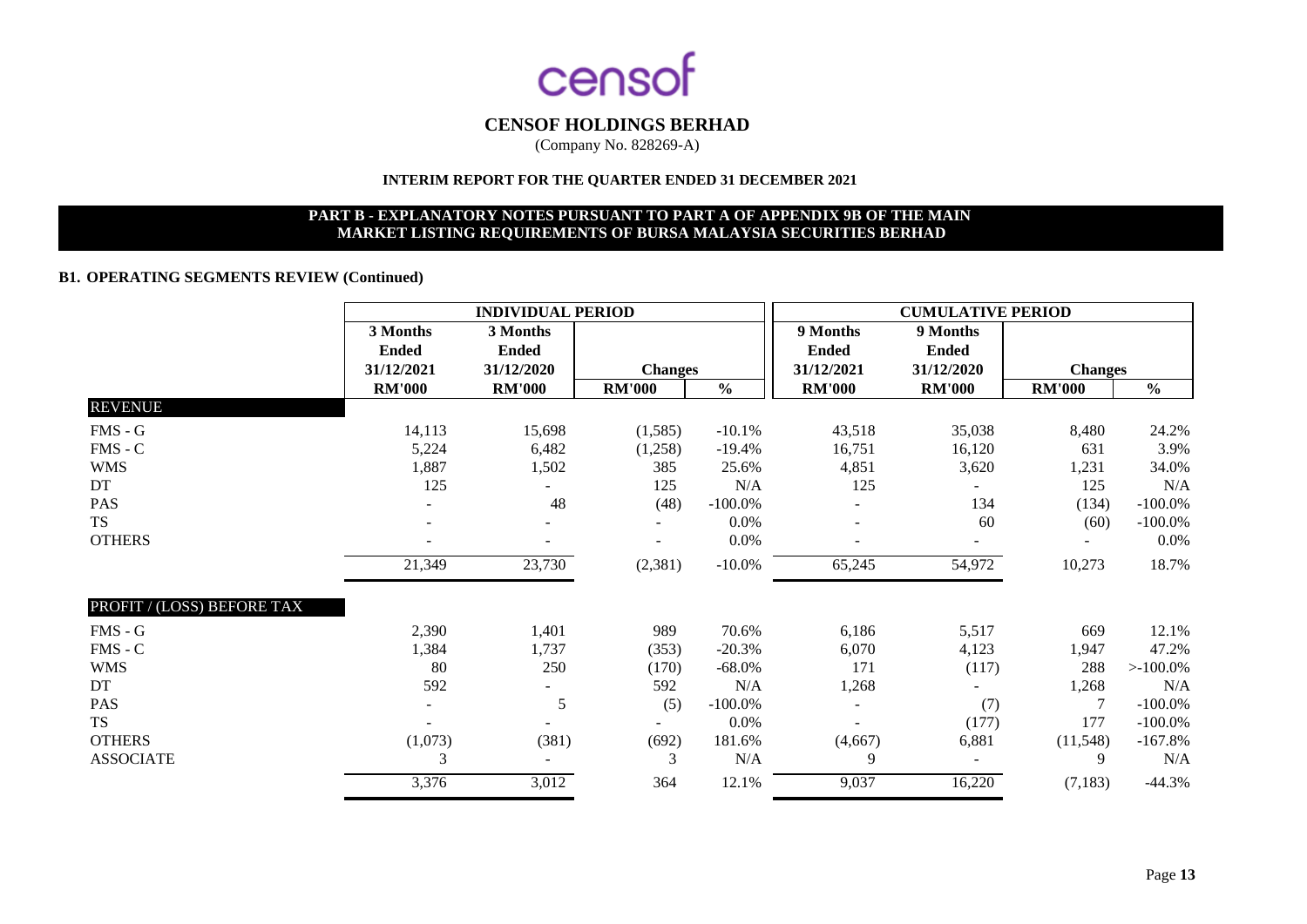

(Company No. 828269-A)

## **INTERIM REPORT FOR THE QUARTER ENDED 31 DECEMBER 2021**

### **PART B - EXPLANATORY NOTES PURSUANT TO PART A OF APPENDIX 9B OF THE MAIN MARKET LISTING REQUIREMENTS OF BURSA MALAYSIA SECURITIES BERHAD**

## **B1. OPERATING SEGMENTS REVIEW (Continued)**

|                            | <b>INDIVIDUAL PERIOD</b> |               |                | <b>CUMULATIVE PERIOD</b> |                |                          |                |               |
|----------------------------|--------------------------|---------------|----------------|--------------------------|----------------|--------------------------|----------------|---------------|
|                            | 3 Months                 | 3 Months      |                |                          | 9 Months       | 9 Months                 |                |               |
|                            | <b>Ended</b>             | <b>Ended</b>  |                |                          | <b>Ended</b>   | <b>Ended</b>             |                |               |
|                            | 31/12/2021               | 31/12/2020    | <b>Changes</b> |                          | 31/12/2021     | 31/12/2020               | <b>Changes</b> |               |
|                            | <b>RM'000</b>            | <b>RM'000</b> | <b>RM'000</b>  | $\frac{6}{6}$            | <b>RM'000</b>  | <b>RM'000</b>            | <b>RM'000</b>  | $\frac{6}{6}$ |
| <b>REVENUE</b>             |                          |               |                |                          |                |                          |                |               |
| $FMS - G$                  | 14,113                   | 15,698        | (1,585)        | $-10.1%$                 | 43,518         | 35,038                   | 8,480          | 24.2%         |
| $FMS - C$                  | 5,224                    | 6,482         | (1,258)        | $-19.4%$                 | 16,751         | 16,120                   | 631            | 3.9%          |
| <b>WMS</b>                 | 1,887                    | 1,502         | 385            | 25.6%                    | 4,851          | 3,620                    | 1,231          | 34.0%         |
| DT                         | 125                      |               | 125            | N/A                      | 125            |                          | 125            | N/A           |
| <b>PAS</b>                 |                          | 48            | (48)           | $-100.0\%$               |                | 134                      | (134)          | $-100.0\%$    |
| TS                         |                          |               |                | 0.0%                     |                | 60                       | (60)           | $-100.0\%$    |
| <b>OTHERS</b>              |                          |               |                | 0.0%                     |                |                          |                | $0.0\%$       |
|                            | 21,349                   | 23,730        | (2,381)        | $-10.0\%$                | 65,245         | 54,972                   | 10,273         | 18.7%         |
| PROFIT / (LOSS) BEFORE TAX |                          |               |                |                          |                |                          |                |               |
| $FMS - G$                  | 2,390                    | 1,401         | 989            | 70.6%                    | 6,186          | 5,517                    | 669            | 12.1%         |
| $FMS - C$                  | 1,384                    | 1,737         | (353)          | $-20.3%$                 | 6,070          | 4,123                    | 1,947          | 47.2%         |
| <b>WMS</b>                 | 80                       | 250           | (170)          | $-68.0\%$                | 171            | (117)                    | 288            | $>100.0\%$    |
| DT                         | 592                      | $\sim$        | 592            | N/A                      | 1,268          |                          | 1,268          | N/A           |
| PAS                        |                          | 5             | (5)            | $-100.0\%$               | $\blacksquare$ | (7)                      | 7              | $-100.0\%$    |
| TS                         |                          |               |                | $0.0\%$                  |                | (177)                    | 177            | $-100.0\%$    |
| <b>OTHERS</b>              | (1,073)                  | (381)         | (692)          | 181.6%                   | (4,667)        | 6,881                    | (11,548)       | $-167.8%$     |
| <b>ASSOCIATE</b>           | 3                        | $\sim$        | 3              | N/A                      | 9              | $\overline{\phantom{a}}$ | 9              | N/A           |
|                            | 3,376                    | 3,012         | 364            | 12.1%                    | 9,037          | 16,220                   | (7,183)        | $-44.3%$      |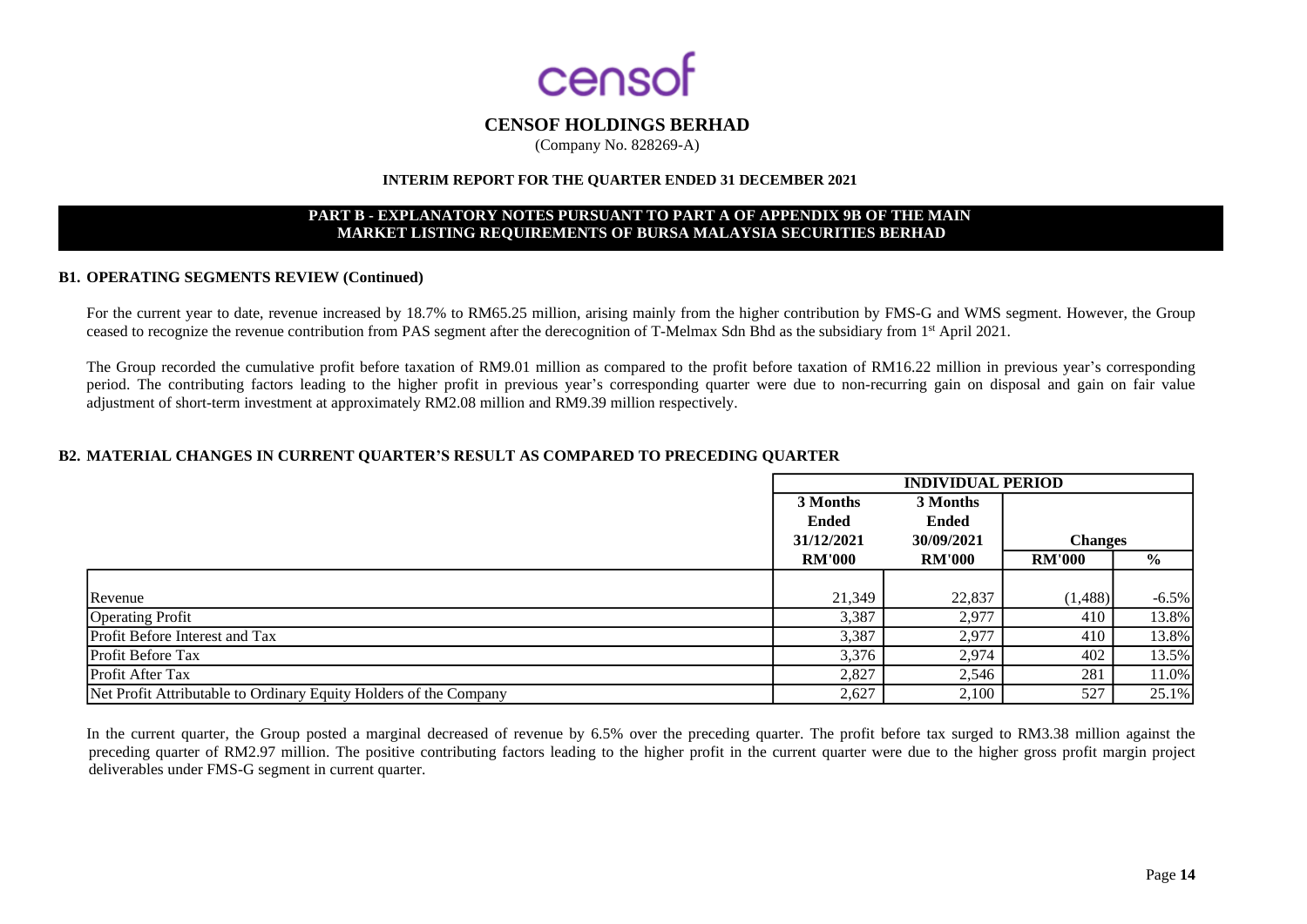

(Company No. 828269-A)

#### **INTERIM REPORT FOR THE QUARTER ENDED 31 DECEMBER 2021**

#### **PART B - EXPLANATORY NOTES PURSUANT TO PART A OF APPENDIX 9B OF THE MAIN MARKET LISTING REQUIREMENTS OF BURSA MALAYSIA SECURITIES BERHAD**

#### **B1. OPERATING SEGMENTS REVIEW (Continued)**

For the current year to date, revenue increased by 18.7% to RM65.25 million, arising mainly from the higher contribution by FMS-G and WMS segment. However, the Group ceased to recognize the revenue contribution from PAS segment after the derecognition of T-Melmax Sdn Bhd as the subsidiary from 1<sup>st</sup> April 2021.

The Group recorded the cumulative profit before taxation of RM9.01 million as compared to the profit before taxation of RM16.22 million in previous year's corresponding period. The contributing factors leading to the higher profit in previous year's corresponding quarter were due to non-recurring gain on disposal and gain on fair value adjustment of short-term investment at approximately RM2.08 million and RM9.39 million respectively.

#### **B2. MATERIAL CHANGES IN CURRENT QUARTER'S RESULT AS COMPARED TO PRECEDING QUARTER**

|                                                                   | <b>INDIVIDUAL PERIOD</b> |               |                |               |
|-------------------------------------------------------------------|--------------------------|---------------|----------------|---------------|
|                                                                   | 3 Months                 | 3 Months      |                |               |
|                                                                   | <b>Ended</b>             | <b>Ended</b>  |                |               |
|                                                                   | 31/12/2021               | 30/09/2021    | <b>Changes</b> |               |
|                                                                   | <b>RM'000</b>            | <b>RM'000</b> | <b>RM'000</b>  | $\frac{6}{9}$ |
|                                                                   |                          |               |                |               |
| Revenue                                                           | 21,349                   | 22,837        | (1, 488)       | $-6.5\%$      |
| <b>Operating Profit</b>                                           | 3,387                    | 2,977         | 410            | 13.8%         |
| <b>Profit Before Interest and Tax</b>                             | 3,387                    | 2,977         | 410            | 13.8%         |
| <b>Profit Before Tax</b>                                          | 3,376                    | 2,974         | 402            | 13.5%         |
| <b>Profit After Tax</b>                                           | 2,827                    | 2,546         | 281            | 11.0%         |
| Net Profit Attributable to Ordinary Equity Holders of the Company | 2,627                    | 2,100         | 527            | 25.1%         |

In the current quarter, the Group posted a marginal decreased of revenue by 6.5% over the preceding quarter. The profit before tax surged to RM3.38 million against the preceding quarter of RM2.97 million. The positive contributing factors leading to the higher profit in the current quarter were due to the higher gross profit margin project deliverables under FMS-G segment in current quarter.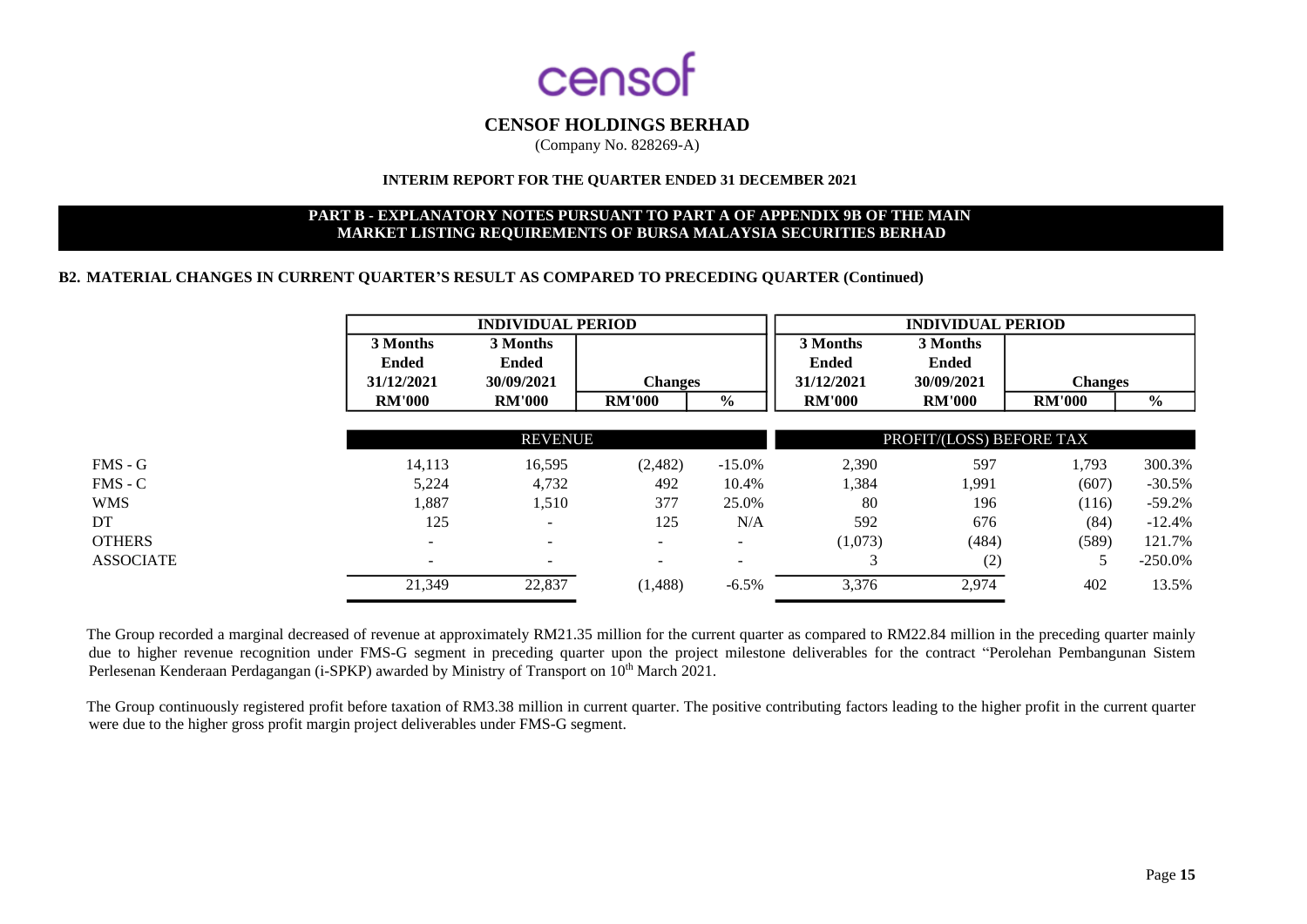

(Company No. 828269-A)

## **INTERIM REPORT FOR THE QUARTER ENDED 31 DECEMBER 2021**

#### **PART B - EXPLANATORY NOTES PURSUANT TO PART A OF APPENDIX 9B OF THE MAIN MARKET LISTING REQUIREMENTS OF BURSA MALAYSIA SECURITIES BERHAD**

#### **B2. MATERIAL CHANGES IN CURRENT QUARTER'S RESULT AS COMPARED TO PRECEDING QUARTER (Continued)**

|                  | <b>INDIVIDUAL PERIOD</b>               |                                 |                          |               | <b>INDIVIDUAL PERIOD</b>               |                                        |                |               |
|------------------|----------------------------------------|---------------------------------|--------------------------|---------------|----------------------------------------|----------------------------------------|----------------|---------------|
|                  | 3 Months<br><b>Ended</b><br>31/12/2021 | 3 Months<br>Ended<br>30/09/2021 | <b>Changes</b>           |               | 3 Months<br><b>Ended</b><br>31/12/2021 | 3 Months<br><b>Ended</b><br>30/09/2021 | <b>Changes</b> |               |
|                  | <b>RM'000</b>                          | <b>RM'000</b>                   | <b>RM'000</b>            | $\frac{6}{9}$ | <b>RM'000</b>                          | <b>RM'000</b>                          | <b>RM'000</b>  | $\frac{0}{0}$ |
|                  |                                        | <b>REVENUE</b>                  |                          |               |                                        | PROFIT/(LOSS) BEFORE TAX               |                |               |
| $FMS - G$        | 14,113                                 | 16,595                          | (2,482)                  | $-15.0\%$     | 2,390                                  | 597                                    | 1,793          | 300.3%        |
| $FMS - C$        | 5,224                                  | 4,732                           | 492                      | 10.4%         | 1,384                                  | 1,991                                  | (607)          | $-30.5%$      |
| <b>WMS</b>       | 1,887                                  | 1,510                           | 377                      | 25.0%         | 80                                     | 196                                    | (116)          | $-59.2%$      |
| DT               | 125                                    | -                               | 125                      | N/A           | 592                                    | 676                                    | (84)           | $-12.4%$      |
| <b>OTHERS</b>    | -                                      | $\overline{\phantom{a}}$        | $\overline{\phantom{0}}$ | н.            | (1,073)                                | (484)                                  | (589)          | 121.7%        |
| <b>ASSOCIATE</b> | $\overline{\phantom{0}}$               | $\overline{\phantom{a}}$        | $\overline{\phantom{a}}$ | ۰             | ⌒                                      | (2)                                    | 5              | $-250.0\%$    |
|                  | 21,349                                 | 22,837                          | (1,488)                  | $-6.5%$       | 3,376                                  | 2,974                                  | 402            | 13.5%         |

The Group recorded a marginal decreased of revenue at approximately RM21.35 million for the current quarter as compared to RM22.84 million in the preceding quarter mainly due to higher revenue recognition under FMS-G segment in preceding quarter upon the project milestone deliverables for the contract "Perolehan Pembangunan Sistem Perlesenan Kenderaan Perdagangan (i-SPKP) awarded by Ministry of Transport on 10<sup>th</sup> March 2021.

The Group continuously registered profit before taxation of RM3.38 million in current quarter. The positive contributing factors leading to the higher profit in the current quarter were due to the higher gross profit margin project deliverables under FMS-G segment.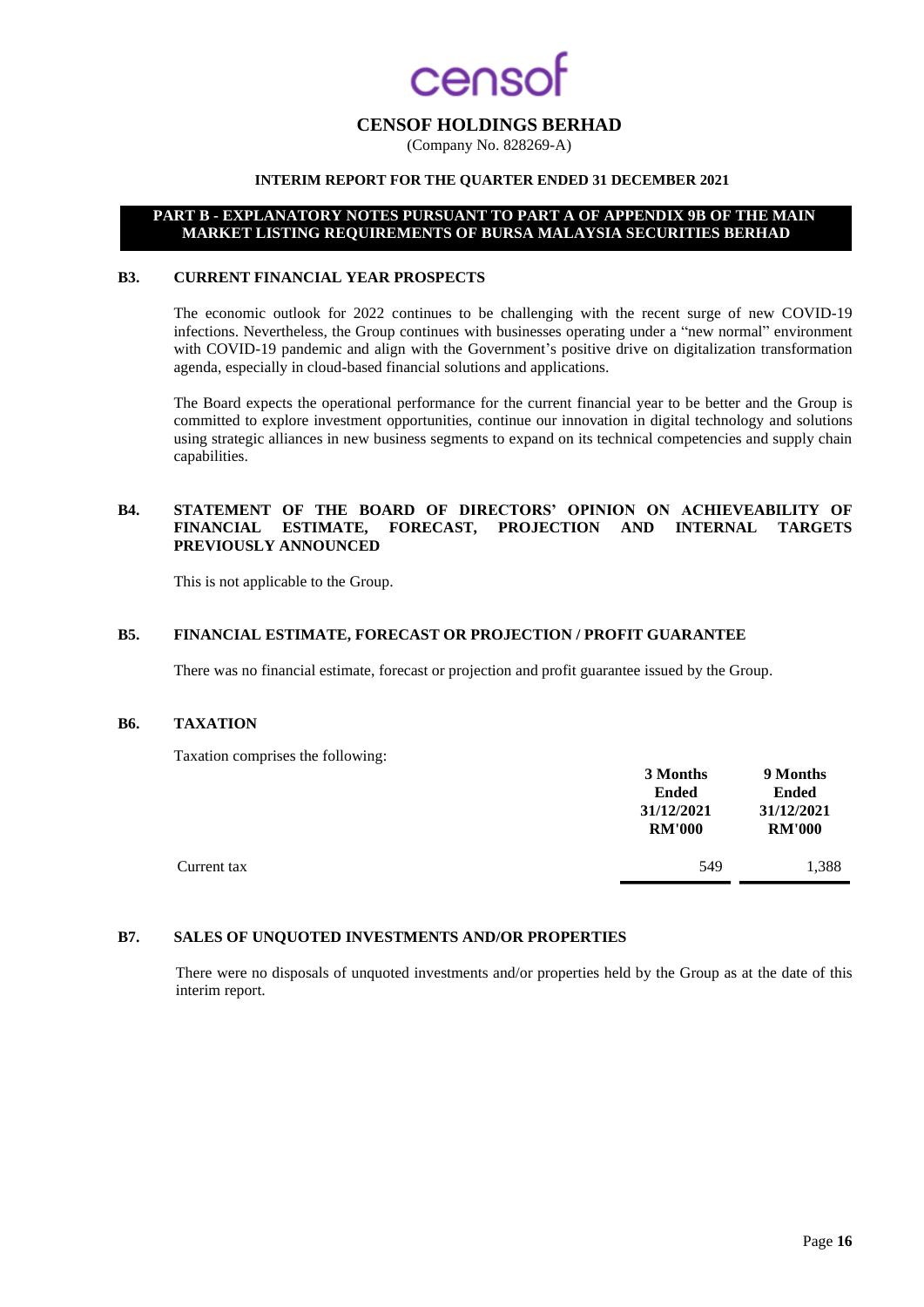## enso

## **CENSOF HOLDINGS BERHAD**

(Company No. 828269-A)

## **INTERIM REPORT FOR THE QUARTER ENDED 31 DECEMBER 2021**

#### **PART B - EXPLANATORY NOTES PURSUANT TO PART A OF APPENDIX 9B OF THE MAIN MARKET LISTING REQUIREMENTS OF BURSA MALAYSIA SECURITIES BERHAD**

#### **B3. CURRENT FINANCIAL YEAR PROSPECTS**

The economic outlook for 2022 continues to be challenging with the recent surge of new COVID-19 infections. Nevertheless, the Group continues with businesses operating under a "new normal" environment with COVID-19 pandemic and align with the Government's positive drive on digitalization transformation agenda, especially in cloud-based financial solutions and applications.

The Board expects the operational performance for the current financial year to be better and the Group is committed to explore investment opportunities, continue our innovation in digital technology and solutions using strategic alliances in new business segments to expand on its technical competencies and supply chain capabilities.

#### **B4. STATEMENT OF THE BOARD OF DIRECTORS' OPINION ON ACHIEVEABILITY OF FINANCIAL ESTIMATE, FORECAST, PROJECTION AND INTERNAL TARGETS PREVIOUSLY ANNOUNCED**

This is not applicable to the Group.

#### **B5. FINANCIAL ESTIMATE, FORECAST OR PROJECTION / PROFIT GUARANTEE**

There was no financial estimate, forecast or projection and profit guarantee issued by the Group.

#### **B6. TAXATION**

Taxation comprises the following:

|             | 3 Months<br><b>Ended</b><br>31/12/2021<br><b>RM'000</b> | 9 Months<br><b>Ended</b><br>31/12/2021<br><b>RM'000</b> |
|-------------|---------------------------------------------------------|---------------------------------------------------------|
| Current tax | 549                                                     | 1.388                                                   |

#### **B7. SALES OF UNQUOTED INVESTMENTS AND/OR PROPERTIES**

There were no disposals of unquoted investments and/or properties held by the Group as at the date of this interim report.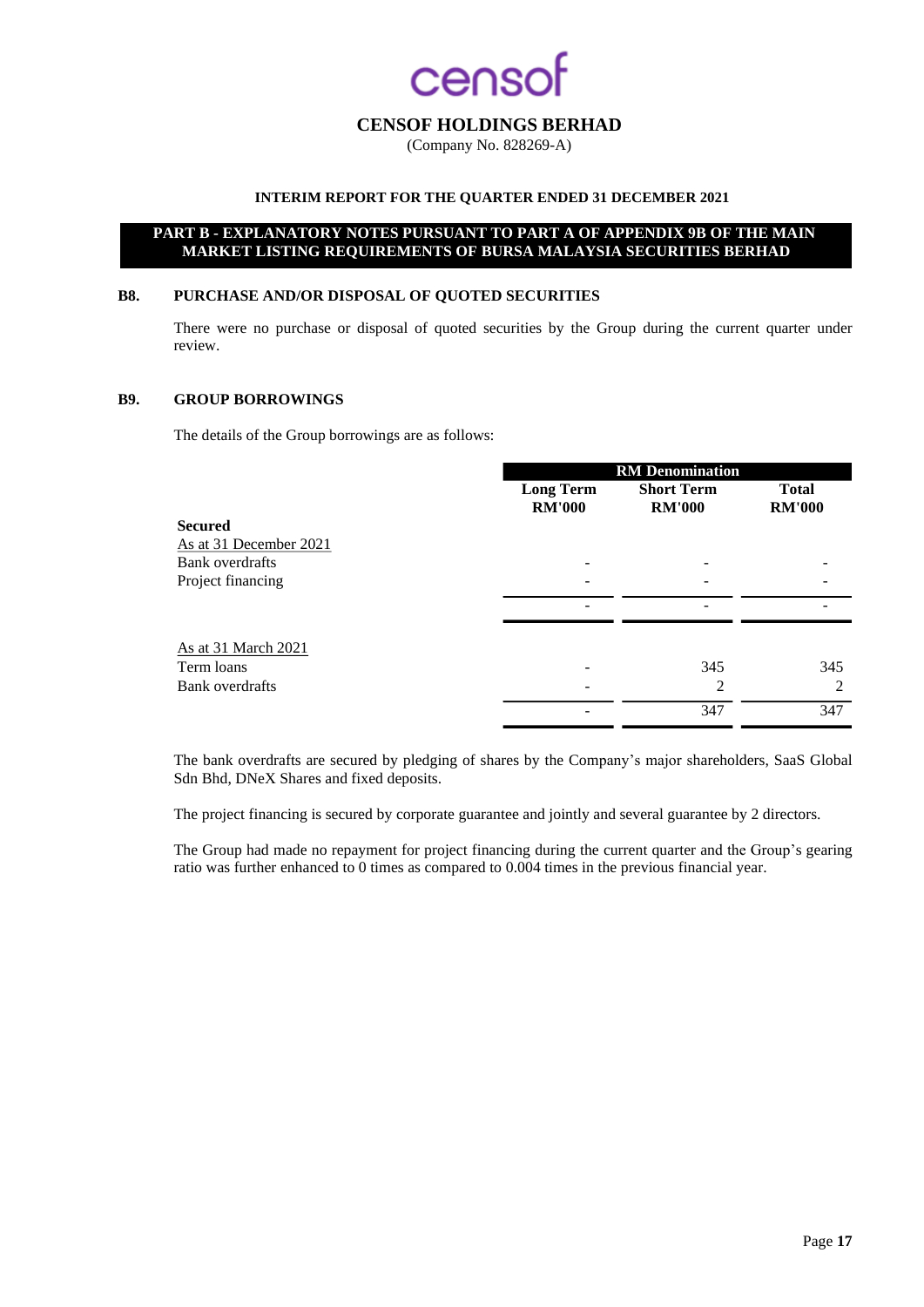## **CAOS**

## **CENSOF HOLDINGS BERHAD**

(Company No. 828269-A)

## **INTERIM REPORT FOR THE QUARTER ENDED 31 DECEMBER 2021**

### **PART B - EXPLANATORY NOTES PURSUANT TO PART A OF APPENDIX 9B OF THE MAIN MARKET LISTING REQUIREMENTS OF BURSA MALAYSIA SECURITIES BERHAD**

#### **B8. PURCHASE AND/OR DISPOSAL OF QUOTED SECURITIES**

There were no purchase or disposal of quoted securities by the Group during the current quarter under review.

#### **B9. GROUP BORROWINGS**

The details of the Group borrowings are as follows:

|                        | <b>RM</b> Denomination |                   |               |  |  |
|------------------------|------------------------|-------------------|---------------|--|--|
|                        | <b>Long Term</b>       | <b>Short Term</b> | <b>Total</b>  |  |  |
|                        | <b>RM'000</b>          | <b>RM'000</b>     | <b>RM'000</b> |  |  |
| <b>Secured</b>         |                        |                   |               |  |  |
| As at 31 December 2021 |                        |                   |               |  |  |
| <b>Bank</b> overdrafts |                        |                   |               |  |  |
| Project financing      |                        |                   |               |  |  |
|                        |                        |                   |               |  |  |
| As at 31 March 2021    |                        |                   |               |  |  |
| Term loans             |                        | 345               | 345           |  |  |
| Bank overdrafts        |                        | 2                 | 2             |  |  |
|                        |                        | 347               | 347           |  |  |

The bank overdrafts are secured by pledging of shares by the Company's major shareholders, SaaS Global Sdn Bhd, DNeX Shares and fixed deposits.

The project financing is secured by corporate guarantee and jointly and several guarantee by 2 directors.

The Group had made no repayment for project financing during the current quarter and the Group's gearing ratio was further enhanced to 0 times as compared to 0.004 times in the previous financial year.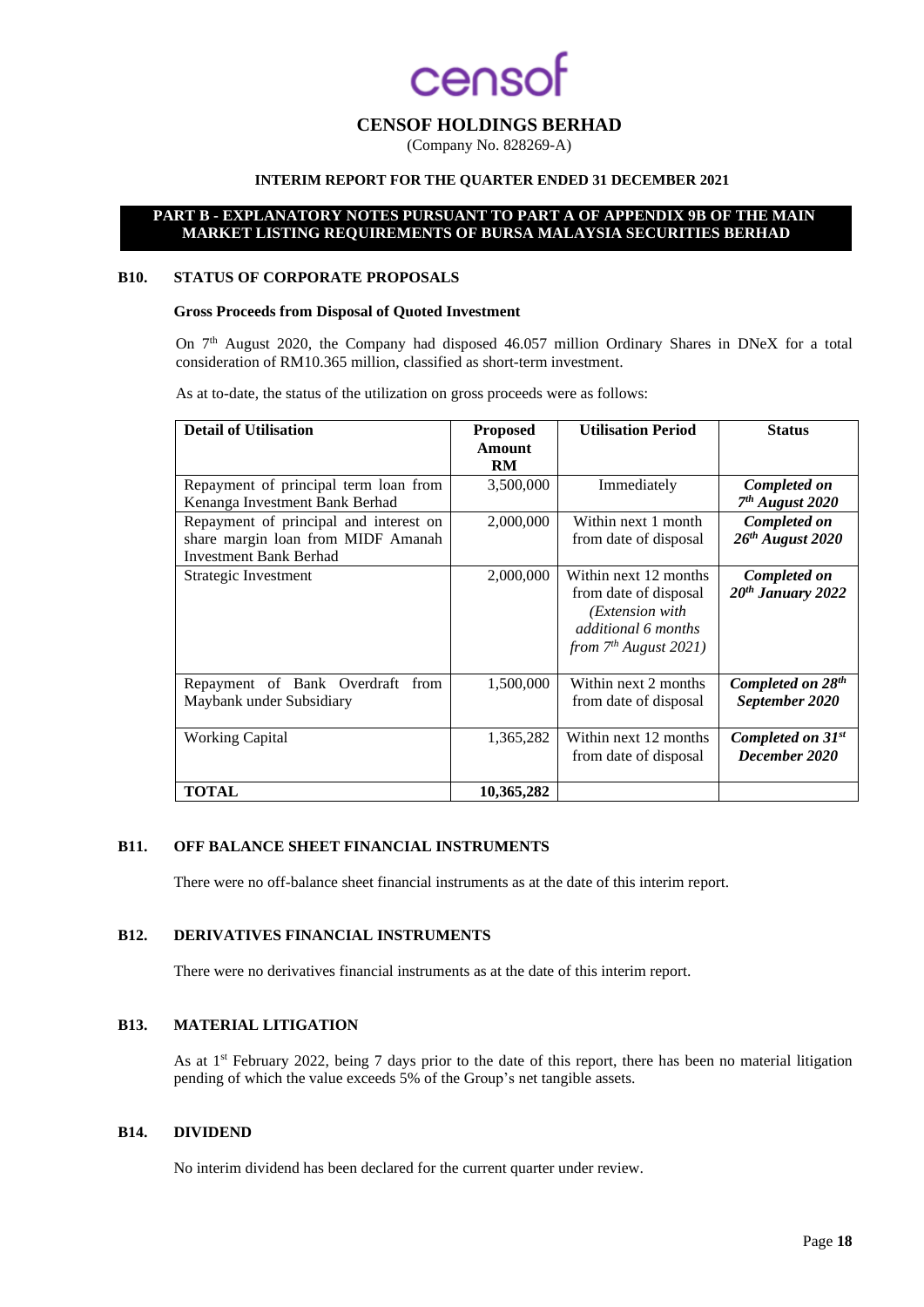## **CENSOF HOLDINGS BERHAD**

(Company No. 828269-A)

## **INTERIM REPORT FOR THE QUARTER ENDED 31 DECEMBER 2021**

#### **PART B - EXPLANATORY NOTES PURSUANT TO PART A OF APPENDIX 9B OF THE MAIN MARKET LISTING REQUIREMENTS OF BURSA MALAYSIA SECURITIES BERHAD**

#### **B10. STATUS OF CORPORATE PROPOSALS**

#### **Gross Proceeds from Disposal of Quoted Investment**

On 7th August 2020, the Company had disposed 46.057 million Ordinary Shares in DNeX for a total consideration of RM10.365 million, classified as short-term investment.

As at to-date, the status of the utilization on gross proceeds were as follows:

| <b>Detail of Utilisation</b>                                                                                  | <b>Proposed</b><br>Amount<br><b>RM</b> | <b>Utilisation Period</b>                                                                                                   | <b>Status</b>                                   |
|---------------------------------------------------------------------------------------------------------------|----------------------------------------|-----------------------------------------------------------------------------------------------------------------------------|-------------------------------------------------|
| Repayment of principal term loan from<br>Kenanga Investment Bank Berhad                                       | 3,500,000                              | Immediately                                                                                                                 | Completed on<br>$7th$ August 2020               |
| Repayment of principal and interest on<br>share margin loan from MIDF Amanah<br><b>Investment Bank Berhad</b> | 2,000,000                              | Within next 1 month<br>from date of disposal                                                                                | Completed on<br>$26th$ August 2020              |
| Strategic Investment                                                                                          | 2,000,000                              | Within next 12 months<br>from date of disposal<br>( <i>Extension with</i><br>additional 6 months<br>from $7th$ August 2021) | Completed on<br>$20th$ January 2022             |
| Repayment of Bank Overdraft from<br>Maybank under Subsidiary                                                  | 1,500,000                              | Within next 2 months<br>from date of disposal                                                                               | Completed on 28 <sup>th</sup><br>September 2020 |
| <b>Working Capital</b>                                                                                        | 1,365,282                              | Within next 12 months<br>from date of disposal                                                                              | Completed on 31st<br>December 2020              |
| <b>TOTAL</b>                                                                                                  | 10,365,282                             |                                                                                                                             |                                                 |

## **B11. OFF BALANCE SHEET FINANCIAL INSTRUMENTS**

There were no off-balance sheet financial instruments as at the date of this interim report.

#### **B12. DERIVATIVES FINANCIAL INSTRUMENTS**

There were no derivatives financial instruments as at the date of this interim report.

#### **B13. MATERIAL LITIGATION**

As at 1<sup>st</sup> February 2022, being 7 days prior to the date of this report, there has been no material litigation pending of which the value exceeds 5% of the Group's net tangible assets.

## **B14. DIVIDEND**

No interim dividend has been declared for the current quarter under review.